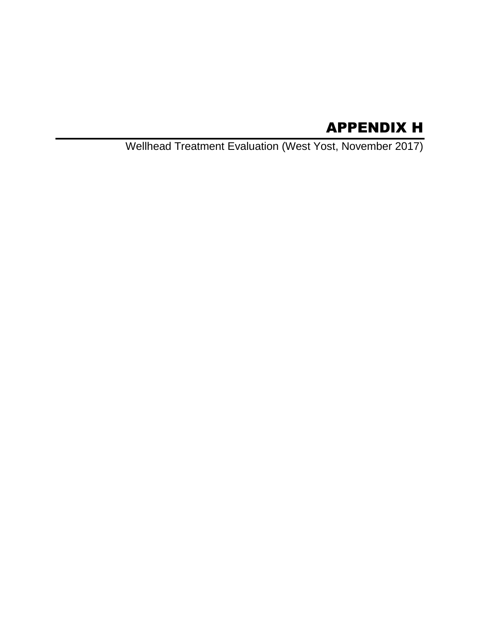# APPENDIX H

Wellhead Treatment Evaluation (West Yost, November 2017)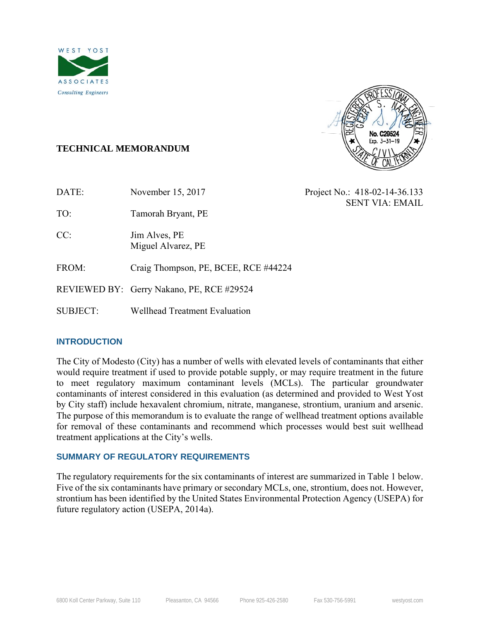



Project No.: 418-02-14-36.133

SENT VIA: EMAIL

# **TECHNICAL MEMORANDUM**

TO: Tamorah Bryant, PE

CC: Jim Alves, PE Miguel Alvarez, PE

FROM: Craig Thompson, PE, BCEE, RCE #44224

REVIEWED BY: Gerry Nakano, PE, RCE #29524

SUBJECT: Wellhead Treatment Evaluation

# **INTRODUCTION**

The City of Modesto (City) has a number of wells with elevated levels of contaminants that either would require treatment if used to provide potable supply, or may require treatment in the future to meet regulatory maximum contaminant levels (MCLs). The particular groundwater contaminants of interest considered in this evaluation (as determined and provided to West Yost by City staff) include hexavalent chromium, nitrate, manganese, strontium, uranium and arsenic. The purpose of this memorandum is to evaluate the range of wellhead treatment options available for removal of these contaminants and recommend which processes would best suit wellhead treatment applications at the City's wells.

# **SUMMARY OF REGULATORY REQUIREMENTS**

The regulatory requirements for the six contaminants of interest are summarized in Table 1 below. Five of the six contaminants have primary or secondary MCLs, one, strontium, does not. However, strontium has been identified by the United States Environmental Protection Agency (USEPA) for future regulatory action (USEPA, 2014a).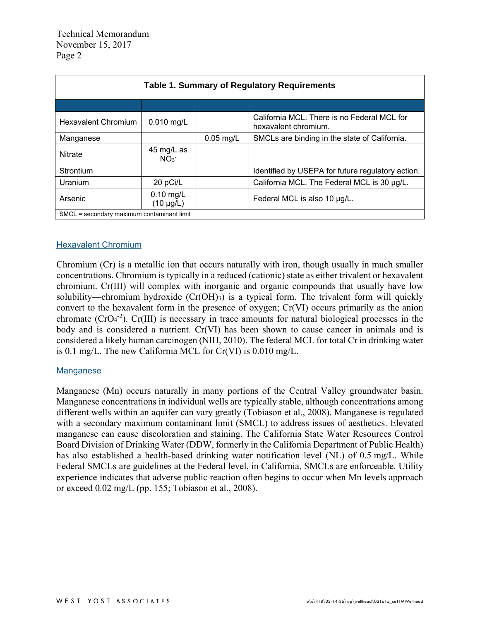| <b>Table 1. Summary of Regulatory Requirements</b>                       |                               |             |                                                                     |  |  |
|--------------------------------------------------------------------------|-------------------------------|-------------|---------------------------------------------------------------------|--|--|
|                                                                          |                               |             |                                                                     |  |  |
| <b>Hexavalent Chromium</b>                                               | $0.010$ mg/L                  |             | California MCL. There is no Federal MCL for<br>hexavalent chromium. |  |  |
| Manganese                                                                |                               | $0.05$ mg/L | SMCLs are binding in the state of California.                       |  |  |
| <b>Nitrate</b>                                                           | 45 mg/L as<br>NO <sub>3</sub> |             |                                                                     |  |  |
| Strontium                                                                |                               |             | Identified by USEPA for future regulatory action.                   |  |  |
| Uranium                                                                  | 20 pCi/L                      |             | California MCL. The Federal MCL is 30 µg/L.                         |  |  |
| $0.10$ mg/L<br>Arsenic<br>Federal MCL is also 10 µg/L.<br>$(10 \mu g/L)$ |                               |             |                                                                     |  |  |
| SMCL = secondary maximum contaminant limit                               |                               |             |                                                                     |  |  |

#### Hexavalent Chromium

Chromium (Cr) is a metallic ion that occurs naturally with iron, though usually in much smaller concentrations. Chromium is typically in a reduced (cationic) state as either trivalent or hexavalent chromium. Cr(III) will complex with inorganic and organic compounds that usually have low solubility—chromium hydroxide (Cr(OH)3) is a typical form. The trivalent form will quickly convert to the hexavalent form in the presence of oxygen; Cr(VI) occurs primarily as the anion chromate  $(CrO<sub>4</sub><sup>-2</sup>)$ . Cr(III) is necessary in trace amounts for natural biological processes in the body and is considered a nutrient. Cr(VI) has been shown to cause cancer in animals and is considered a likely human carcinogen (NIH, 2010). The federal MCL for total Cr in drinking water is 0.1 mg/L. The new California MCL for Cr(VI) is 0.010 mg/L.

#### Manganese

Manganese (Mn) occurs naturally in many portions of the Central Valley groundwater basin. Manganese concentrations in individual wells are typically stable, although concentrations among different wells within an aquifer can vary greatly (Tobiason et al., 2008). Manganese is regulated with a secondary maximum contaminant limit (SMCL) to address issues of aesthetics. Elevated manganese can cause discoloration and staining. The California State Water Resources Control Board Division of Drinking Water (DDW, formerly in the California Department of Public Health) has also established a health-based drinking water notification level (NL) of 0.5 mg/L. While Federal SMCLs are guidelines at the Federal level, in California, SMCLs are enforceable. Utility experience indicates that adverse public reaction often begins to occur when Mn levels approach or exceed 0.02 mg/L (pp. 155; Tobiason et al., 2008).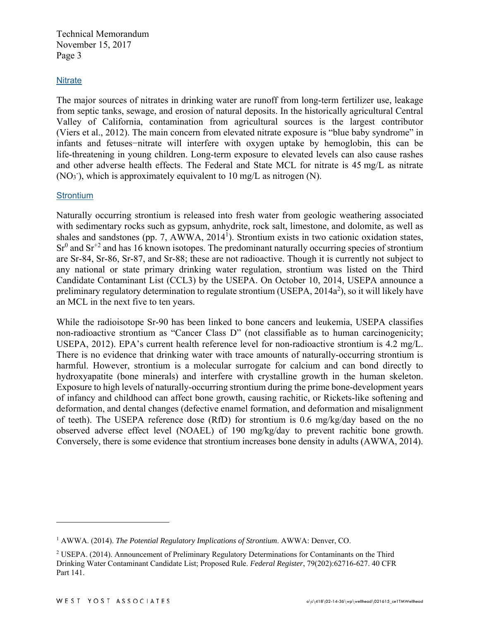#### **Nitrate**

The major sources of nitrates in drinking water are runoff from long-term fertilizer use, leakage from septic tanks, sewage, and erosion of natural deposits. In the historically agricultural Central Valley of California, contamination from agricultural sources is the largest contributor (Viers et al., 2012). The main concern from elevated nitrate exposure is "blue baby syndrome" in infants and fetuses−nitrate will interfere with oxygen uptake by hemoglobin, this can be life-threatening in young children. Long-term exposure to elevated levels can also cause rashes and other adverse health effects. The Federal and State MCL for nitrate is 45 mg/L as nitrate (NO3 - ), which is approximately equivalent to 10 mg/L as nitrogen (N).

#### **Strontium**

Naturally occurring strontium is released into fresh water from geologic weathering associated with sedimentary rocks such as gypsum, anhydrite, rock salt, limestone, and dolomite, as well as shales and sandstones (pp. 7, AWWA,  $2014<sup>1</sup>$ ). Strontium exists in two cationic oxidation states,  $Sr<sup>0</sup>$  and  $Sr<sup>+2</sup>$  and has 16 known isotopes. The predominant naturally occurring species of strontium are Sr-84, Sr-86, Sr-87, and Sr-88; these are not radioactive. Though it is currently not subject to any national or state primary drinking water regulation, strontium was listed on the Third Candidate Contaminant List (CCL3) by the USEPA. On October 10, 2014, USEPA announce a preliminary regulatory determination to regulate strontium (USEPA,  $2014a^2$ ), so it will likely have an MCL in the next five to ten years.

While the radioisotope Sr-90 has been linked to bone cancers and leukemia, USEPA classifies non-radioactive strontium as "Cancer Class D" (not classifiable as to human carcinogenicity; USEPA, 2012). EPA's current health reference level for non-radioactive strontium is 4.2 mg/L. There is no evidence that drinking water with trace amounts of naturally-occurring strontium is harmful. However, strontium is a molecular surrogate for calcium and can bond directly to hydroxyapatite (bone minerals) and interfere with crystalline growth in the human skeleton. Exposure to high levels of naturally-occurring strontium during the prime bone-development years of infancy and childhood can affect bone growth, causing rachitic, or Rickets-like softening and deformation, and dental changes (defective enamel formation, and deformation and misalignment of teeth). The USEPA reference dose (RfD) for strontium is 0.6 mg/kg/day based on the no observed adverse effect level (NOAEL) of 190 mg/kg/day to prevent rachitic bone growth. Conversely, there is some evidence that strontium increases bone density in adults (AWWA, 2014).

 $\overline{a}$ 

<sup>&</sup>lt;sup>1</sup> AWWA. (2014). *The Potential Regulatory Implications of Strontium*. AWWA: Denver, CO.

<sup>&</sup>lt;sup>2</sup> USEPA. (2014). Announcement of Preliminary Regulatory Determinations for Contaminants on the Third Drinking Water Contaminant Candidate List; Proposed Rule. *Federal Register*, 79(202):62716-627. 40 CFR Part 141.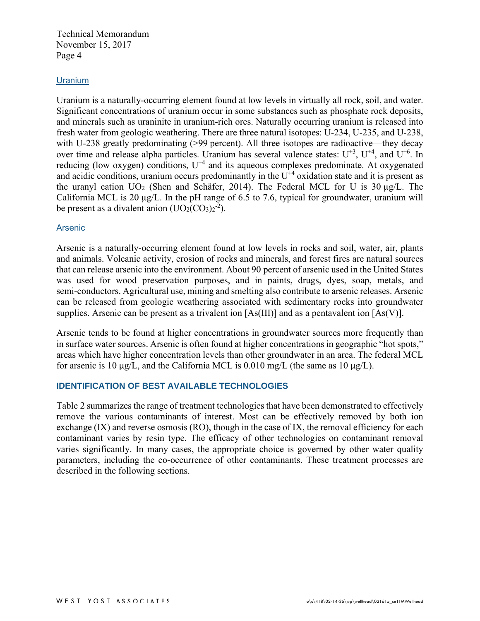#### **Uranium**

Uranium is a naturally-occurring element found at low levels in virtually all rock, soil, and water. Significant concentrations of uranium occur in some substances such as phosphate rock deposits, and minerals such as uraninite in uranium-rich ores. Naturally occurring uranium is released into fresh water from geologic weathering. There are three natural isotopes: U-234, U-235, and U-238, with U-238 greatly predominating (>99 percent). All three isotopes are radioactive—they decay over time and release alpha particles. Uranium has several valence states:  $U^{+3}$ ,  $U^{+4}$ , and  $U^{+6}$ . In reducing (low oxygen) conditions,  $U^{+4}$  and its aqueous complexes predominate. At oxygenated and acidic conditions, uranium occurs predominantly in the  $U^{+4}$  oxidation state and it is present as the uranyl cation  $UO<sub>2</sub>$  (Shen and Schäfer, 2014). The Federal MCL for U is 30  $\mu$ g/L. The California MCL is 20  $\mu$ g/L. In the pH range of 6.5 to 7.6, typical for groundwater, uranium will be present as a divalent anion  $(UO<sub>2</sub>(CO<sub>3</sub>)<sub>2</sub><sup>-2</sup>).$ 

#### **Arsenic**

Arsenic is a naturally-occurring element found at low levels in rocks and soil, water, air, plants and animals. Volcanic activity, erosion of rocks and minerals, and forest fires are natural sources that can release arsenic into the environment. About 90 percent of arsenic used in the United States was used for wood preservation purposes, and in paints, drugs, dyes, soap, metals, and semi-conductors. Agricultural use, mining and smelting also contribute to arsenic releases. Arsenic can be released from geologic weathering associated with sedimentary rocks into groundwater supplies. Arsenic can be present as a trivalent ion [As(III)] and as a pentavalent ion [As(V)].

Arsenic tends to be found at higher concentrations in groundwater sources more frequently than in surface water sources. Arsenic is often found at higher concentrations in geographic "hot spots," areas which have higher concentration levels than other groundwater in an area. The federal MCL for arsenic is 10  $\mu$ g/L, and the California MCL is 0.010 mg/L (the same as 10  $\mu$ g/L).

## **IDENTIFICATION OF BEST AVAILABLE TECHNOLOGIES**

Table 2 summarizes the range of treatment technologies that have been demonstrated to effectively remove the various contaminants of interest. Most can be effectively removed by both ion exchange (IX) and reverse osmosis (RO), though in the case of IX, the removal efficiency for each contaminant varies by resin type. The efficacy of other technologies on contaminant removal varies significantly. In many cases, the appropriate choice is governed by other water quality parameters, including the co-occurrence of other contaminants. These treatment processes are described in the following sections.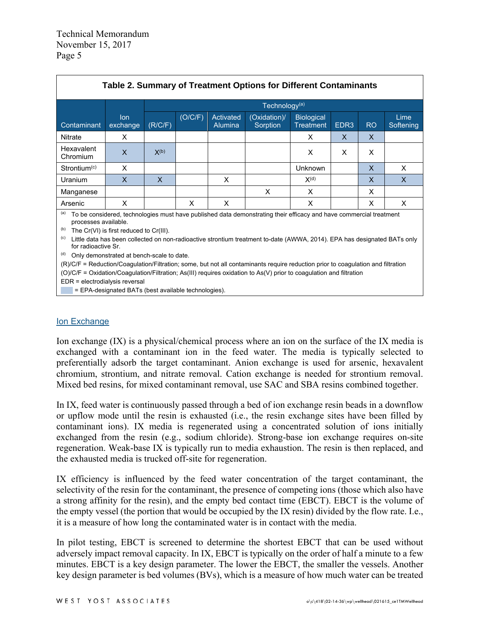| Table 2. Summary of Treatment Options for Different Contaminants                                                                                                                                                                                                                                                                                              |                 |           |         |                             |                           |                                       |                  |                |                   |
|---------------------------------------------------------------------------------------------------------------------------------------------------------------------------------------------------------------------------------------------------------------------------------------------------------------------------------------------------------------|-----------------|-----------|---------|-----------------------------|---------------------------|---------------------------------------|------------------|----------------|-------------------|
|                                                                                                                                                                                                                                                                                                                                                               |                 |           |         |                             | Technology <sup>(a)</sup> |                                       |                  |                |                   |
| Contaminant                                                                                                                                                                                                                                                                                                                                                   | lon<br>exchange | (R/C/F)   | (O/C/F) | Activated<br><b>Alumina</b> | (Oxidation)/<br>Sorption  | <b>Biological</b><br><b>Treatment</b> | EDR <sub>3</sub> | R <sub>O</sub> | Lime<br>Softening |
| <b>Nitrate</b>                                                                                                                                                                                                                                                                                                                                                | X               |           |         |                             |                           | X                                     | X                | $\mathsf{X}$   |                   |
| Hexavalent<br>Chromium                                                                                                                                                                                                                                                                                                                                        | X               | $X^{(b)}$ |         |                             |                           | X                                     | X                | X              |                   |
| Strontium <sup>(c)</sup>                                                                                                                                                                                                                                                                                                                                      | X               |           |         |                             |                           | Unknown                               |                  | X              | X                 |
| Uranium                                                                                                                                                                                                                                                                                                                                                       | $\mathsf{X}$    | X         |         | X                           |                           | $X^{(d)}$                             |                  | X              | X                 |
| Manganese                                                                                                                                                                                                                                                                                                                                                     |                 |           |         |                             | X                         | $\times$                              |                  | X              |                   |
| Arsenic                                                                                                                                                                                                                                                                                                                                                       | X               |           | X       | X                           |                           | X                                     |                  | X              | X                 |
| (a)<br>To be considered, technologies must have published data demonstrating their efficacy and have commercial treatment<br>processes available.<br>(b)<br>The Cr(VI) is first reduced to Cr(III).<br>(c)<br>Little data has been collected on non-radioactive strontium treatment to-date (AWWA, 2014). EPA has designated BATs only<br>for radioactive Sr. |                 |           |         |                             |                           |                                       |                  |                |                   |

(d) Only demonstrated at bench-scale to date.

(R)/C/F = Reduction/Coagulation/Filtration; some, but not all contaminants require reduction prior to coagulation and filtration (O)/C/F = Oxidation/Coagulation/Filtration; As(III) requires oxidation to As(V) prior to coagulation and filtration

EDR = electrodialysis reversal

 $=$  EPA-designated BATs (best available technologies).

#### Ion Exchange

Ion exchange (IX) is a physical/chemical process where an ion on the surface of the IX media is exchanged with a contaminant ion in the feed water. The media is typically selected to preferentially adsorb the target contaminant. Anion exchange is used for arsenic, hexavalent chromium, strontium, and nitrate removal. Cation exchange is needed for strontium removal. Mixed bed resins, for mixed contaminant removal, use SAC and SBA resins combined together.

In IX, feed water is continuously passed through a bed of ion exchange resin beads in a downflow or upflow mode until the resin is exhausted (i.e., the resin exchange sites have been filled by contaminant ions). IX media is regenerated using a concentrated solution of ions initially exchanged from the resin (e.g., sodium chloride). Strong-base ion exchange requires on-site regeneration. Weak-base IX is typically run to media exhaustion. The resin is then replaced, and the exhausted media is trucked off-site for regeneration.

IX efficiency is influenced by the feed water concentration of the target contaminant, the selectivity of the resin for the contaminant, the presence of competing ions (those which also have a strong affinity for the resin), and the empty bed contact time (EBCT). EBCT is the volume of the empty vessel (the portion that would be occupied by the IX resin) divided by the flow rate. I.e., it is a measure of how long the contaminated water is in contact with the media.

In pilot testing, EBCT is screened to determine the shortest EBCT that can be used without adversely impact removal capacity. In IX, EBCT is typically on the order of half a minute to a few minutes. EBCT is a key design parameter. The lower the EBCT, the smaller the vessels. Another key design parameter is bed volumes (BVs), which is a measure of how much water can be treated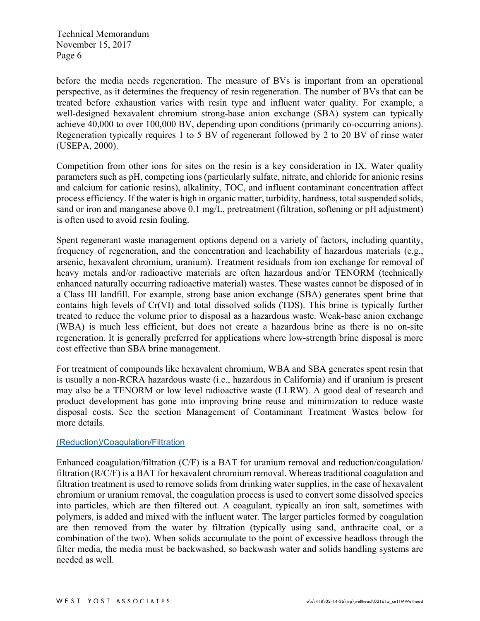before the media needs regeneration. The measure of BVs is important from an operational perspective, as it determines the frequency of resin regeneration. The number of BVs that can be treated before exhaustion varies with resin type and influent water quality. For example, a well-designed hexavalent chromium strong-base anion exchange (SBA) system can typically achieve 40,000 to over 100,000 BV, depending upon conditions (primarily co-occurring anions). Regeneration typically requires 1 to 5 BV of regenerant followed by 2 to 20 BV of rinse water (USEPA, 2000).

Competition from other ions for sites on the resin is a key consideration in IX. Water quality parameters such as pH, competing ions (particularly sulfate, nitrate, and chloride for anionic resins and calcium for cationic resins), alkalinity, TOC, and influent contaminant concentration affect process efficiency. If the water is high in organic matter, turbidity, hardness, total suspended solids, sand or iron and manganese above 0.1 mg/L, pretreatment (filtration, softening or pH adjustment) is often used to avoid resin fouling.

Spent regenerant waste management options depend on a variety of factors, including quantity, frequency of regeneration, and the concentration and leachability of hazardous materials (e.g., arsenic, hexavalent chromium, uranium). Treatment residuals from ion exchange for removal of heavy metals and/or radioactive materials are often hazardous and/or TENORM (technically enhanced naturally occurring radioactive material) wastes. These wastes cannot be disposed of in a Class III landfill. For example, strong base anion exchange (SBA) generates spent brine that contains high levels of Cr(VI) and total dissolved solids (TDS). This brine is typically further treated to reduce the volume prior to disposal as a hazardous waste. Weak-base anion exchange (WBA) is much less efficient, but does not create a hazardous brine as there is no on-site regeneration. It is generally preferred for applications where low-strength brine disposal is more cost effective than SBA brine management.

For treatment of compounds like hexavalent chromium, WBA and SBA generates spent resin that is usually a non-RCRA hazardous waste (i.e., hazardous in California) and if uranium is present may also be a TENORM or low level radioactive waste (LLRW). A good deal of research and product development has gone into improving brine reuse and minimization to reduce waste disposal costs. See the section Management of Contaminant Treatment Wastes below for more details.

## (Reduction)/Coagulation/Filtration

Enhanced coagulation/filtration (C/F) is a BAT for uranium removal and reduction/coagulation/ filtration (R/C/F) is a BAT for hexavalent chromium removal. Whereas traditional coagulation and filtration treatment is used to remove solids from drinking water supplies, in the case of hexavalent chromium or uranium removal, the coagulation process is used to convert some dissolved species into particles, which are then filtered out. A coagulant, typically an iron salt, sometimes with polymers, is added and mixed with the influent water. The larger particles formed by coagulation are then removed from the water by filtration (typically using sand, anthracite coal, or a combination of the two). When solids accumulate to the point of excessive headloss through the filter media, the media must be backwashed, so backwash water and solids handling systems are needed as well.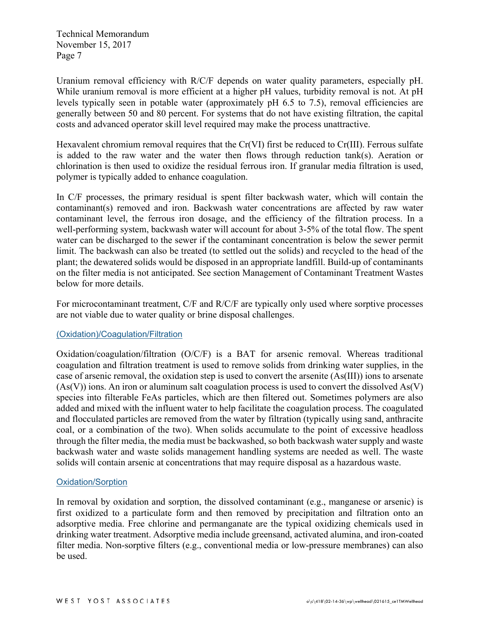Uranium removal efficiency with R/C/F depends on water quality parameters, especially pH. While uranium removal is more efficient at a higher pH values, turbidity removal is not. At pH levels typically seen in potable water (approximately pH 6.5 to 7.5), removal efficiencies are generally between 50 and 80 percent. For systems that do not have existing filtration, the capital costs and advanced operator skill level required may make the process unattractive.

Hexavalent chromium removal requires that the Cr(VI) first be reduced to Cr(III). Ferrous sulfate is added to the raw water and the water then flows through reduction tank(s). Aeration or chlorination is then used to oxidize the residual ferrous iron. If granular media filtration is used, polymer is typically added to enhance coagulation.

In C/F processes, the primary residual is spent filter backwash water, which will contain the contaminant(s) removed and iron. Backwash water concentrations are affected by raw water contaminant level, the ferrous iron dosage, and the efficiency of the filtration process. In a well-performing system, backwash water will account for about 3-5% of the total flow. The spent water can be discharged to the sewer if the contaminant concentration is below the sewer permit limit. The backwash can also be treated (to settled out the solids) and recycled to the head of the plant; the dewatered solids would be disposed in an appropriate landfill. Build-up of contaminants on the filter media is not anticipated. See section Management of Contaminant Treatment Wastes below for more details.

For microcontaminant treatment, C/F and R/C/F are typically only used where sorptive processes are not viable due to water quality or brine disposal challenges.

## (Oxidation)/Coagulation/Filtration

Oxidation/coagulation/filtration (O/C/F) is a BAT for arsenic removal. Whereas traditional coagulation and filtration treatment is used to remove solids from drinking water supplies, in the case of arsenic removal, the oxidation step is used to convert the arsenite (As(III)) ions to arsenate  $(As(V))$  ions. An iron or aluminum salt coagulation process is used to convert the dissolved  $As(V)$ species into filterable FeAs particles, which are then filtered out. Sometimes polymers are also added and mixed with the influent water to help facilitate the coagulation process. The coagulated and flocculated particles are removed from the water by filtration (typically using sand, anthracite coal, or a combination of the two). When solids accumulate to the point of excessive headloss through the filter media, the media must be backwashed, so both backwash water supply and waste backwash water and waste solids management handling systems are needed as well. The waste solids will contain arsenic at concentrations that may require disposal as a hazardous waste.

#### Oxidation/Sorption

In removal by oxidation and sorption, the dissolved contaminant (e.g., manganese or arsenic) is first oxidized to a particulate form and then removed by precipitation and filtration onto an adsorptive media. Free chlorine and permanganate are the typical oxidizing chemicals used in drinking water treatment. Adsorptive media include greensand, activated alumina, and iron-coated filter media. Non-sorptive filters (e.g., conventional media or low-pressure membranes) can also be used.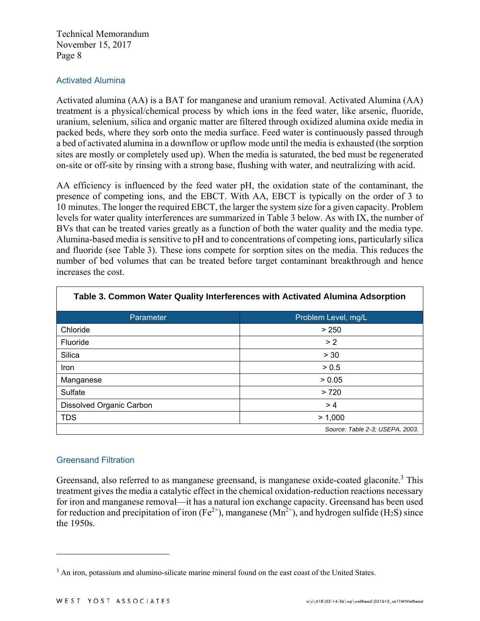## Activated Alumina

Activated alumina (AA) is a BAT for manganese and uranium removal. Activated Alumina (AA) treatment is a physical/chemical process by which ions in the feed water, like arsenic, fluoride, uranium, selenium, silica and organic matter are filtered through oxidized alumina oxide media in packed beds, where they sorb onto the media surface. Feed water is continuously passed through a bed of activated alumina in a downflow or upflow mode until the media is exhausted (the sorption sites are mostly or completely used up). When the media is saturated, the bed must be regenerated on-site or off-site by rinsing with a strong base, flushing with water, and neutralizing with acid.

AA efficiency is influenced by the feed water pH, the oxidation state of the contaminant, the presence of competing ions, and the EBCT. With AA, EBCT is typically on the order of 3 to 10 minutes. The longer the required EBCT, the larger the system size for a given capacity. Problem levels for water quality interferences are summarized in Table 3 below. As with IX, the number of BVs that can be treated varies greatly as a function of both the water quality and the media type. Alumina-based media is sensitive to pH and to concentrations of competing ions, particularly silica and fluoride (see Table 3). These ions compete for sorption sites on the media. This reduces the number of bed volumes that can be treated before target contaminant breakthrough and hence increases the cost.

| Table 3. Common Water Quality Interferences with Activated Alumina Adsorption |                                 |  |  |  |  |
|-------------------------------------------------------------------------------|---------------------------------|--|--|--|--|
| Parameter<br>Problem Level, mg/L                                              |                                 |  |  |  |  |
| Chloride                                                                      | > 250                           |  |  |  |  |
| Fluoride                                                                      | > 2                             |  |  |  |  |
| Silica                                                                        | > 30                            |  |  |  |  |
| <b>Iron</b>                                                                   | > 0.5                           |  |  |  |  |
| Manganese                                                                     | > 0.05                          |  |  |  |  |
| Sulfate                                                                       | >720                            |  |  |  |  |
| Dissolved Organic Carbon                                                      | >4                              |  |  |  |  |
| <b>TDS</b>                                                                    | > 1,000                         |  |  |  |  |
|                                                                               | Source: Table 2-3; USEPA, 2003. |  |  |  |  |

## **Table 3. Common Water Quality Interferences with Activated Alumina Adsorption**

## Greensand Filtration

<u>.</u>

Greensand, also referred to as manganese greensand, is manganese oxide-coated glaconite.<sup>3</sup> This treatment gives the media a catalytic effect in the chemical oxidation-reduction reactions necessary for iron and manganese removal—it has a natural ion exchange capacity. Greensand has been used for reduction and precipitation of iron (Fe<sup>2+</sup>), manganese ( $\text{Mn}^{2+}$ ), and hydrogen sulfide (H<sub>2</sub>S) since the 1950s.

<sup>&</sup>lt;sup>3</sup> An iron, potassium and alumino-silicate marine mineral found on the east coast of the United States.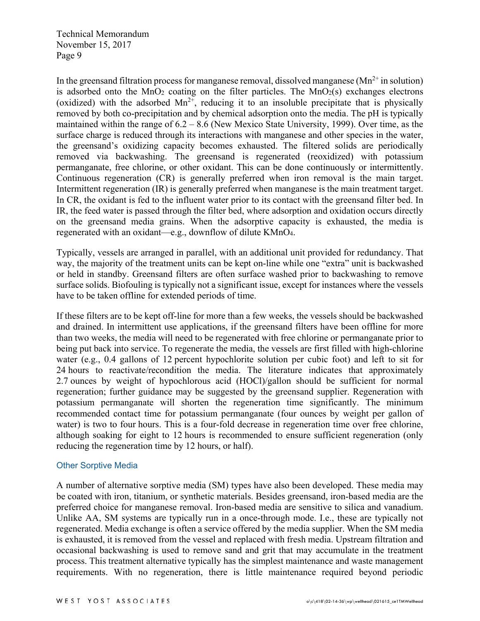In the greensand filtration process for manganese removal, dissolved manganese ( $Mn^{2+}$  in solution) is adsorbed onto the  $MnO<sub>2</sub>$  coating on the filter particles. The  $MnO<sub>2</sub>(s)$  exchanges electrons (oxidized) with the adsorbed  $Mn^{2+}$ , reducing it to an insoluble precipitate that is physically removed by both co-precipitation and by chemical adsorption onto the media. The pH is typically maintained within the range of 6.2 – 8.6 (New Mexico State University, 1999). Over time, as the surface charge is reduced through its interactions with manganese and other species in the water, the greensand's oxidizing capacity becomes exhausted. The filtered solids are periodically removed via backwashing. The greensand is regenerated (reoxidized) with potassium permanganate, free chlorine, or other oxidant. This can be done continuously or intermittently. Continuous regeneration (CR) is generally preferred when iron removal is the main target. Intermittent regeneration (IR) is generally preferred when manganese is the main treatment target. In CR, the oxidant is fed to the influent water prior to its contact with the greensand filter bed. In IR, the feed water is passed through the filter bed, where adsorption and oxidation occurs directly on the greensand media grains. When the adsorptive capacity is exhausted, the media is regenerated with an oxidant—e.g., downflow of dilute KMnO4.

Typically, vessels are arranged in parallel, with an additional unit provided for redundancy. That way, the majority of the treatment units can be kept on-line while one "extra" unit is backwashed or held in standby. Greensand filters are often surface washed prior to backwashing to remove surface solids. Biofouling is typically not a significant issue, except for instances where the vessels have to be taken offline for extended periods of time.

If these filters are to be kept off-line for more than a few weeks, the vessels should be backwashed and drained. In intermittent use applications, if the greensand filters have been offline for more than two weeks, the media will need to be regenerated with free chlorine or permanganate prior to being put back into service. To regenerate the media, the vessels are first filled with high-chlorine water (e.g., 0.4 gallons of 12 percent hypochlorite solution per cubic foot) and left to sit for 24 hours to reactivate/recondition the media. The literature indicates that approximately 2.7 ounces by weight of hypochlorous acid (HOCl)/gallon should be sufficient for normal regeneration; further guidance may be suggested by the greensand supplier. Regeneration with potassium permanganate will shorten the regeneration time significantly. The minimum recommended contact time for potassium permanganate (four ounces by weight per gallon of water) is two to four hours. This is a four-fold decrease in regeneration time over free chlorine, although soaking for eight to 12 hours is recommended to ensure sufficient regeneration (only reducing the regeneration time by 12 hours, or half).

## Other Sorptive Media

A number of alternative sorptive media (SM) types have also been developed. These media may be coated with iron, titanium, or synthetic materials. Besides greensand, iron-based media are the preferred choice for manganese removal. Iron-based media are sensitive to silica and vanadium. Unlike AA, SM systems are typically run in a once-through mode. I.e., these are typically not regenerated. Media exchange is often a service offered by the media supplier. When the SM media is exhausted, it is removed from the vessel and replaced with fresh media. Upstream filtration and occasional backwashing is used to remove sand and grit that may accumulate in the treatment process. This treatment alternative typically has the simplest maintenance and waste management requirements. With no regeneration, there is little maintenance required beyond periodic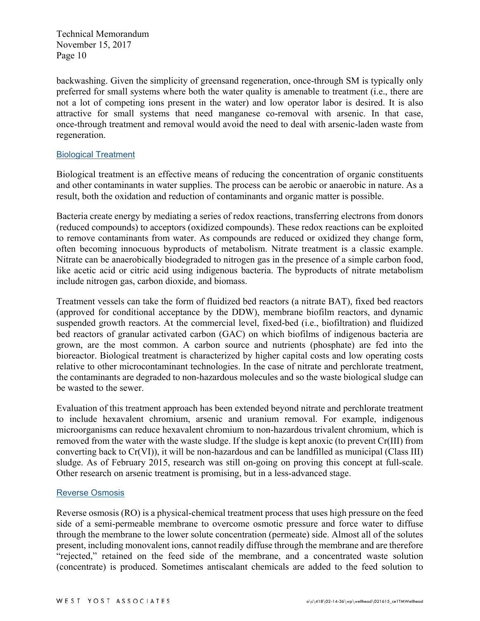backwashing. Given the simplicity of greensand regeneration, once-through SM is typically only preferred for small systems where both the water quality is amenable to treatment (i.e., there are not a lot of competing ions present in the water) and low operator labor is desired. It is also attractive for small systems that need manganese co-removal with arsenic. In that case, once-through treatment and removal would avoid the need to deal with arsenic-laden waste from regeneration.

#### Biological Treatment

Biological treatment is an effective means of reducing the concentration of organic constituents and other contaminants in water supplies. The process can be aerobic or anaerobic in nature. As a result, both the oxidation and reduction of contaminants and organic matter is possible.

Bacteria create energy by mediating a series of redox reactions, transferring electrons from donors (reduced compounds) to acceptors (oxidized compounds). These redox reactions can be exploited to remove contaminants from water. As compounds are reduced or oxidized they change form, often becoming innocuous byproducts of metabolism. Nitrate treatment is a classic example. Nitrate can be anaerobically biodegraded to nitrogen gas in the presence of a simple carbon food, like acetic acid or citric acid using indigenous bacteria. The byproducts of nitrate metabolism include nitrogen gas, carbon dioxide, and biomass.

Treatment vessels can take the form of fluidized bed reactors (a nitrate BAT), fixed bed reactors (approved for conditional acceptance by the DDW), membrane biofilm reactors, and dynamic suspended growth reactors. At the commercial level, fixed-bed (i.e., biofiltration) and fluidized bed reactors of granular activated carbon (GAC) on which biofilms of indigenous bacteria are grown, are the most common. A carbon source and nutrients (phosphate) are fed into the bioreactor. Biological treatment is characterized by higher capital costs and low operating costs relative to other microcontaminant technologies. In the case of nitrate and perchlorate treatment, the contaminants are degraded to non-hazardous molecules and so the waste biological sludge can be wasted to the sewer.

Evaluation of this treatment approach has been extended beyond nitrate and perchlorate treatment to include hexavalent chromium, arsenic and uranium removal. For example, indigenous microorganisms can reduce hexavalent chromium to non-hazardous trivalent chromium, which is removed from the water with the waste sludge. If the sludge is kept anoxic (to prevent Cr(III) from converting back to Cr(VI)), it will be non-hazardous and can be landfilled as municipal (Class III) sludge. As of February 2015, research was still on-going on proving this concept at full-scale. Other research on arsenic treatment is promising, but in a less-advanced stage.

#### Reverse Osmosis

Reverse osmosis (RO) is a physical-chemical treatment process that uses high pressure on the feed side of a semi-permeable membrane to overcome osmotic pressure and force water to diffuse through the membrane to the lower solute concentration (permeate) side. Almost all of the solutes present, including monovalent ions, cannot readily diffuse through the membrane and are therefore "rejected," retained on the feed side of the membrane, and a concentrated waste solution (concentrate) is produced. Sometimes antiscalant chemicals are added to the feed solution to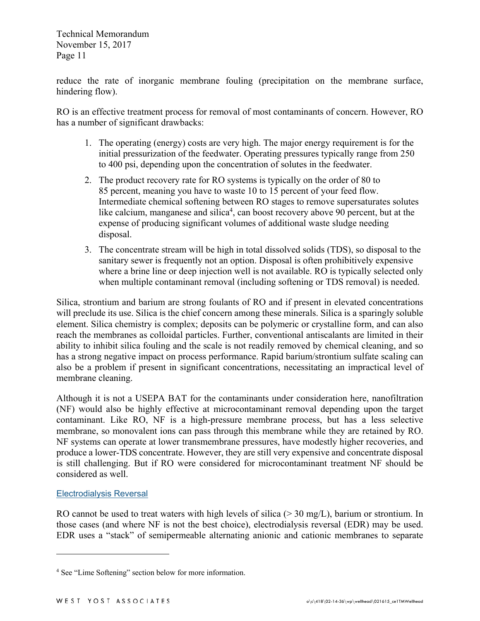reduce the rate of inorganic membrane fouling (precipitation on the membrane surface, hindering flow).

RO is an effective treatment process for removal of most contaminants of concern. However, RO has a number of significant drawbacks:

- 1. The operating (energy) costs are very high. The major energy requirement is for the initial pressurization of the feedwater. Operating pressures typically range from 250 to 400 psi, depending upon the concentration of solutes in the feedwater.
- 2. The product recovery rate for RO systems is typically on the order of 80 to 85 percent, meaning you have to waste 10 to 15 percent of your feed flow. Intermediate chemical softening between RO stages to remove supersaturates solutes like calcium, manganese and silica<sup>4</sup>, can boost recovery above 90 percent, but at the expense of producing significant volumes of additional waste sludge needing disposal.
- 3. The concentrate stream will be high in total dissolved solids (TDS), so disposal to the sanitary sewer is frequently not an option. Disposal is often prohibitively expensive where a brine line or deep injection well is not available. RO is typically selected only when multiple contaminant removal (including softening or TDS removal) is needed.

Silica, strontium and barium are strong foulants of RO and if present in elevated concentrations will preclude its use. Silica is the chief concern among these minerals. Silica is a sparingly soluble element. Silica chemistry is complex; deposits can be polymeric or crystalline form, and can also reach the membranes as colloidal particles. Further, conventional antiscalants are limited in their ability to inhibit silica fouling and the scale is not readily removed by chemical cleaning, and so has a strong negative impact on process performance. Rapid barium/strontium sulfate scaling can also be a problem if present in significant concentrations, necessitating an impractical level of membrane cleaning.

Although it is not a USEPA BAT for the contaminants under consideration here, nanofiltration (NF) would also be highly effective at microcontaminant removal depending upon the target contaminant. Like RO, NF is a high-pressure membrane process, but has a less selective membrane, so monovalent ions can pass through this membrane while they are retained by RO. NF systems can operate at lower transmembrane pressures, have modestly higher recoveries, and produce a lower-TDS concentrate. However, they are still very expensive and concentrate disposal is still challenging. But if RO were considered for microcontaminant treatment NF should be considered as well.

## Electrodialysis Reversal

 $\overline{a}$ 

RO cannot be used to treat waters with high levels of silica  $(> 30 \text{ mg/L})$ , barium or strontium. In those cases (and where NF is not the best choice), electrodialysis reversal (EDR) may be used. EDR uses a "stack" of semipermeable alternating anionic and cationic membranes to separate

<sup>4</sup> See "Lime Softening" section below for more information.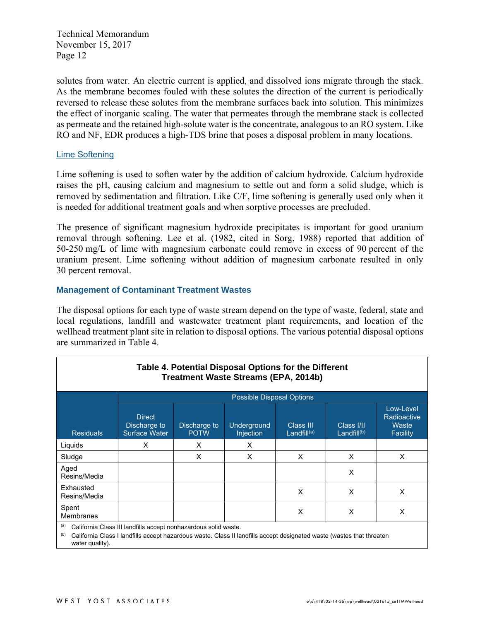solutes from water. An electric current is applied, and dissolved ions migrate through the stack. As the membrane becomes fouled with these solutes the direction of the current is periodically reversed to release these solutes from the membrane surfaces back into solution. This minimizes the effect of inorganic scaling. The water that permeates through the membrane stack is collected as permeate and the retained high-solute water is the concentrate, analogous to an RO system. Like RO and NF, EDR produces a high-TDS brine that poses a disposal problem in many locations.

## Lime Softening

Lime softening is used to soften water by the addition of calcium hydroxide. Calcium hydroxide raises the pH, causing calcium and magnesium to settle out and form a solid sludge, which is removed by sedimentation and filtration. Like C/F, lime softening is generally used only when it is needed for additional treatment goals and when sorptive processes are precluded.

The presence of significant magnesium hydroxide precipitates is important for good uranium removal through softening. Lee et al. (1982, cited in Sorg, 1988) reported that addition of 50-250 mg/L of lime with magnesium carbonate could remove in excess of 90 percent of the uranium present. Lime softening without addition of magnesium carbonate resulted in only 30 percent removal.

#### **Management of Contaminant Treatment Wastes**

The disposal options for each type of waste stream depend on the type of waste, federal, state and local regulations, landfill and wastewater treatment plant requirements, and location of the wellhead treatment plant site in relation to disposal options. The various potential disposal options are summarized in Table 4.

| Table 4. Potential Disposal Options for the Different<br><b>Treatment Waste Streams (EPA, 2014b)</b> |                                                                                                                                                                                          |                             |                           |                             |                              |                                                      |
|------------------------------------------------------------------------------------------------------|------------------------------------------------------------------------------------------------------------------------------------------------------------------------------------------|-----------------------------|---------------------------|-----------------------------|------------------------------|------------------------------------------------------|
|                                                                                                      |                                                                                                                                                                                          |                             | Possible Disposal Options |                             |                              |                                                      |
| <b>Residuals</b>                                                                                     | <b>Direct</b><br>Discharge to<br><b>Surface Water</b>                                                                                                                                    | Discharge to<br><b>POTW</b> | Underground<br>Injection  | Class III<br>Landfill $(a)$ | Class I/II<br>Landfill $(b)$ | Low-Level<br>Radioactive<br>Waste<br><b>Facility</b> |
| Liguids                                                                                              | X                                                                                                                                                                                        | X                           | X                         |                             |                              |                                                      |
| Sludge                                                                                               |                                                                                                                                                                                          | X                           | X                         | X                           | X                            | X                                                    |
| Aged<br>Resins/Media                                                                                 |                                                                                                                                                                                          |                             |                           |                             | X                            |                                                      |
| Exhausted<br>Resins/Media                                                                            |                                                                                                                                                                                          |                             |                           | X                           | X                            | X                                                    |
| Spent<br><b>Membranes</b>                                                                            |                                                                                                                                                                                          |                             |                           | X                           | X                            | X                                                    |
| (a)<br>(b)                                                                                           | California Class III landfills accept nonhazardous solid waste.<br>California Class I landfills accept hazardous waste. Class II landfills accept designated waste (wastes that threaten |                             |                           |                             |                              |                                                      |

water quality).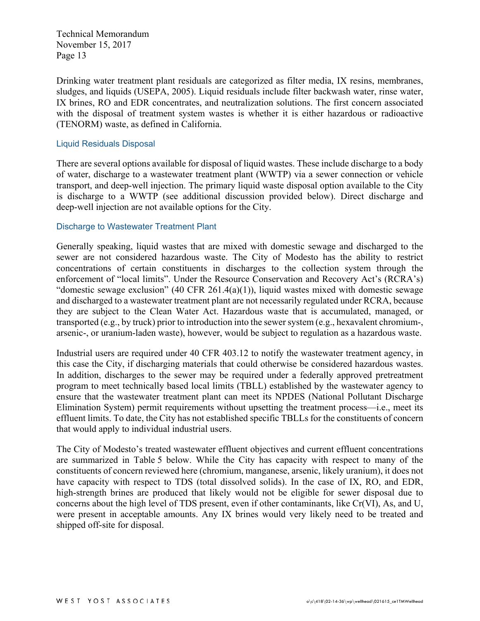Drinking water treatment plant residuals are categorized as filter media, IX resins, membranes, sludges, and liquids (USEPA, 2005). Liquid residuals include filter backwash water, rinse water, IX brines, RO and EDR concentrates, and neutralization solutions. The first concern associated with the disposal of treatment system wastes is whether it is either hazardous or radioactive (TENORM) waste, as defined in California.

#### Liquid Residuals Disposal

There are several options available for disposal of liquid wastes. These include discharge to a body of water, discharge to a wastewater treatment plant (WWTP) via a sewer connection or vehicle transport, and deep-well injection. The primary liquid waste disposal option available to the City is discharge to a WWTP (see additional discussion provided below). Direct discharge and deep-well injection are not available options for the City.

#### Discharge to Wastewater Treatment Plant

Generally speaking, liquid wastes that are mixed with domestic sewage and discharged to the sewer are not considered hazardous waste. The City of Modesto has the ability to restrict concentrations of certain constituents in discharges to the collection system through the enforcement of "local limits". Under the Resource Conservation and Recovery Act's (RCRA's) "domestic sewage exclusion" (40 CFR 261.4(a)(1)), liquid wastes mixed with domestic sewage and discharged to a wastewater treatment plant are not necessarily regulated under RCRA, because they are subject to the Clean Water Act. Hazardous waste that is accumulated, managed, or transported (e.g., by truck) prior to introduction into the sewer system (e.g., hexavalent chromium-, arsenic-, or uranium-laden waste), however, would be subject to regulation as a hazardous waste.

Industrial users are required under 40 CFR 403.12 to notify the wastewater treatment agency, in this case the City, if discharging materials that could otherwise be considered hazardous wastes. In addition, discharges to the sewer may be required under a federally approved pretreatment program to meet technically based local limits (TBLL) established by the wastewater agency to ensure that the wastewater treatment plant can meet its NPDES (National Pollutant Discharge Elimination System) permit requirements without upsetting the treatment process—i.e., meet its effluent limits. To date, the City has not established specific TBLLs for the constituents of concern that would apply to individual industrial users.

The City of Modesto's treated wastewater effluent objectives and current effluent concentrations are summarized in Table 5 below. While the City has capacity with respect to many of the constituents of concern reviewed here (chromium, manganese, arsenic, likely uranium), it does not have capacity with respect to TDS (total dissolved solids). In the case of IX, RO, and EDR, high-strength brines are produced that likely would not be eligible for sewer disposal due to concerns about the high level of TDS present, even if other contaminants, like Cr(VI), As, and U, were present in acceptable amounts. Any IX brines would very likely need to be treated and shipped off-site for disposal.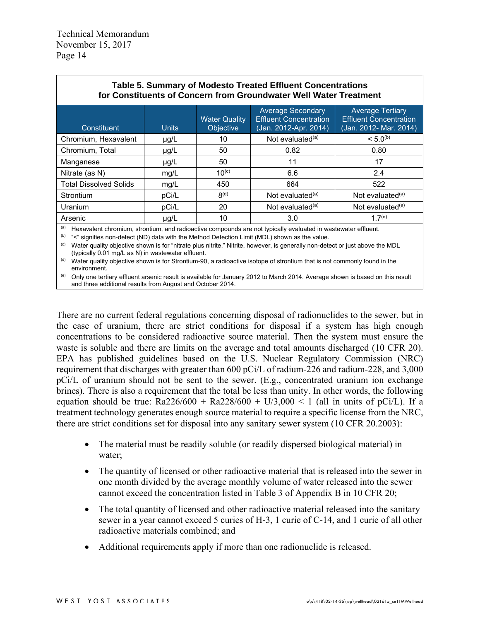| Table 5. Summary of Modesto Treated Effluent Concentrations<br>for Constituents of Concern from Groundwater Well Water Treatment |                                                                                                               |                                          |                                                                                    |                                                                                    |  |  |
|----------------------------------------------------------------------------------------------------------------------------------|---------------------------------------------------------------------------------------------------------------|------------------------------------------|------------------------------------------------------------------------------------|------------------------------------------------------------------------------------|--|--|
| Constituent                                                                                                                      | <b>Units</b>                                                                                                  | <b>Water Quality</b><br><b>Objective</b> | <b>Average Secondary</b><br><b>Effluent Concentration</b><br>(Jan. 2012-Apr. 2014) | <b>Average Tertiary</b><br><b>Effluent Concentration</b><br>(Jan. 2012- Mar. 2014) |  |  |
| Chromium, Hexavalent                                                                                                             | $\mu$ g/L                                                                                                     | 10                                       | Not evaluated $(a)$                                                                | $< 5.0^{(b)}$                                                                      |  |  |
| Chromium, Total                                                                                                                  | $\mu$ g/L                                                                                                     | 50                                       | 0.82                                                                               | 0.80                                                                               |  |  |
| Manganese                                                                                                                        | $\mu$ g/L                                                                                                     | 50                                       | 11                                                                                 | 17                                                                                 |  |  |
| Nitrate (as N)                                                                                                                   | mg/L                                                                                                          | $10^{(c)}$                               | 6.6                                                                                | 2.4                                                                                |  |  |
| <b>Total Dissolved Solids</b>                                                                                                    | mg/L                                                                                                          | 450                                      | 664                                                                                | 522                                                                                |  |  |
| Strontium                                                                                                                        | pCi/L                                                                                                         | 8 <sup>(d)</sup>                         | Not evaluated <sup>(a)</sup>                                                       | Not evaluated <sup>(a)</sup>                                                       |  |  |
| Uranium                                                                                                                          | pCi/L                                                                                                         | 20                                       | Not evaluated <sup>(a)</sup>                                                       | Not evaluated $(a)$                                                                |  |  |
| Arsenic                                                                                                                          | $\mu$ g/L                                                                                                     | 10                                       | 3.0                                                                                | 1.7 <sup>(e)</sup>                                                                 |  |  |
| (a)                                                                                                                              | Hexavalent chromium, strontium, and radioactive compounds are not typically evaluated in wastewater effluent. |                                          |                                                                                    |                                                                                    |  |  |

(b) "<" signifies non-detect (ND) data with the Method Detection Limit (MDL) shown as the value.

(c) Water quality objective shown is for "nitrate plus nitrite." Nitrite, however, is generally non-detect or just above the MDL (typically 0.01 mg/L as N) in wastewater effluent.

 $<sup>(d)</sup>$  Water quality objective shown is for Strontium-90, a radioactive isotope of strontium that is not commonly found in the</sup> environment.

(e) Only one tertiary effluent arsenic result is available for January 2012 to March 2014. Average shown is based on this result and three additional results from August and October 2014.

There are no current federal regulations concerning disposal of radionuclides to the sewer, but in the case of uranium, there are strict conditions for disposal if a system has high enough concentrations to be considered radioactive source material. Then the system must ensure the waste is soluble and there are limits on the average and total amounts discharged (10 CFR 20). EPA has published guidelines based on the U.S. Nuclear Regulatory Commission (NRC) requirement that discharges with greater than 600 pCi/L of radium-226 and radium-228, and 3,000 pCi/L of uranium should not be sent to the sewer. (E.g., concentrated uranium ion exchange brines). There is also a requirement that the total be less than unity. In other words, the following equation should be true:  $Ra226/600 + Ra228/600 + U/3,000 < 1$  (all in units of pCi/L). If a treatment technology generates enough source material to require a specific license from the NRC, there are strict conditions set for disposal into any sanitary sewer system (10 CFR 20.2003):

- The material must be readily soluble (or readily dispersed biological material) in water;
- The quantity of licensed or other radioactive material that is released into the sewer in one month divided by the average monthly volume of water released into the sewer cannot exceed the concentration listed in Table 3 of Appendix B in 10 CFR 20;
- The total quantity of licensed and other radioactive material released into the sanitary sewer in a year cannot exceed 5 curies of H-3, 1 curie of C-14, and 1 curie of all other radioactive materials combined; and
- Additional requirements apply if more than one radionuclide is released.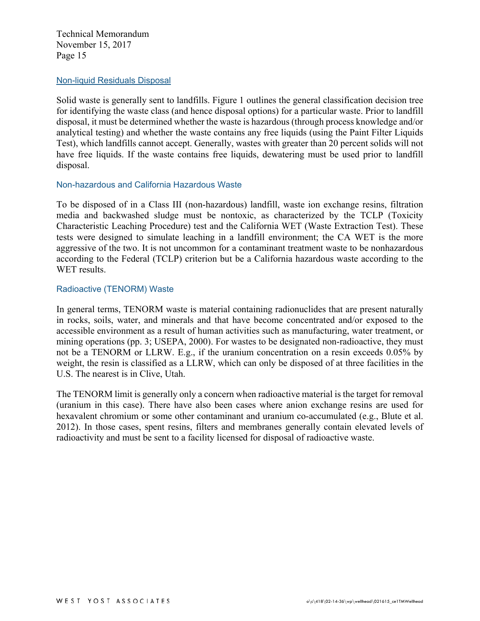#### Non-liquid Residuals Disposal

Solid waste is generally sent to landfills. Figure 1 outlines the general classification decision tree for identifying the waste class (and hence disposal options) for a particular waste. Prior to landfill disposal, it must be determined whether the waste is hazardous (through process knowledge and/or analytical testing) and whether the waste contains any free liquids (using the Paint Filter Liquids Test), which landfills cannot accept. Generally, wastes with greater than 20 percent solids will not have free liquids. If the waste contains free liquids, dewatering must be used prior to landfill disposal.

#### Non-hazardous and California Hazardous Waste

To be disposed of in a Class III (non-hazardous) landfill, waste ion exchange resins, filtration media and backwashed sludge must be nontoxic, as characterized by the TCLP (Toxicity Characteristic Leaching Procedure) test and the California WET (Waste Extraction Test). These tests were designed to simulate leaching in a landfill environment; the CA WET is the more aggressive of the two. It is not uncommon for a contaminant treatment waste to be nonhazardous according to the Federal (TCLP) criterion but be a California hazardous waste according to the WET results.

## Radioactive (TENORM) Waste

In general terms, TENORM waste is material containing radionuclides that are present naturally in rocks, soils, water, and minerals and that have become concentrated and/or exposed to the accessible environment as a result of human activities such as manufacturing, water treatment, or mining operations (pp. 3; USEPA, 2000). For wastes to be designated non-radioactive, they must not be a TENORM or LLRW. E.g., if the uranium concentration on a resin exceeds 0.05% by weight, the resin is classified as a LLRW, which can only be disposed of at three facilities in the U.S. The nearest is in Clive, Utah.

The TENORM limit is generally only a concern when radioactive material is the target for removal (uranium in this case). There have also been cases where anion exchange resins are used for hexavalent chromium or some other contaminant and uranium co-accumulated (e.g., Blute et al. 2012). In those cases, spent resins, filters and membranes generally contain elevated levels of radioactivity and must be sent to a facility licensed for disposal of radioactive waste.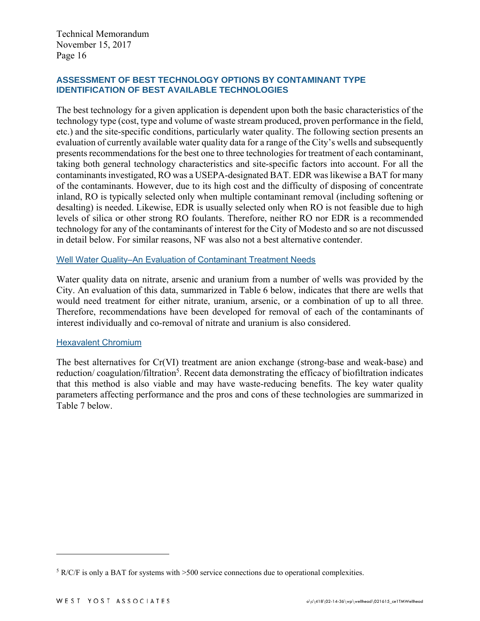## **ASSESSMENT OF BEST TECHNOLOGY OPTIONS BY CONTAMINANT TYPE IDENTIFICATION OF BEST AVAILABLE TECHNOLOGIES**

The best technology for a given application is dependent upon both the basic characteristics of the technology type (cost, type and volume of waste stream produced, proven performance in the field, etc.) and the site-specific conditions, particularly water quality. The following section presents an evaluation of currently available water quality data for a range of the City's wells and subsequently presents recommendations for the best one to three technologies for treatment of each contaminant, taking both general technology characteristics and site-specific factors into account. For all the contaminants investigated, RO was a USEPA-designated BAT. EDR was likewise a BAT for many of the contaminants. However, due to its high cost and the difficulty of disposing of concentrate inland, RO is typically selected only when multiple contaminant removal (including softening or desalting) is needed. Likewise, EDR is usually selected only when RO is not feasible due to high levels of silica or other strong RO foulants. Therefore, neither RO nor EDR is a recommended technology for any of the contaminants of interest for the City of Modesto and so are not discussed in detail below. For similar reasons, NF was also not a best alternative contender.

#### Well Water Quality–An Evaluation of Contaminant Treatment Needs

Water quality data on nitrate, arsenic and uranium from a number of wells was provided by the City. An evaluation of this data, summarized in Table 6 below, indicates that there are wells that would need treatment for either nitrate, uranium, arsenic, or a combination of up to all three. Therefore, recommendations have been developed for removal of each of the contaminants of interest individually and co-removal of nitrate and uranium is also considered.

#### **Hexavalent Chromium**

The best alternatives for Cr(VI) treatment are anion exchange (strong-base and weak-base) and reduction/coagulation/filtration<sup>5</sup>. Recent data demonstrating the efficacy of biofiltration indicates that this method is also viable and may have waste-reducing benefits. The key water quality parameters affecting performance and the pros and cons of these technologies are summarized in Table 7 below.

<u>.</u>

 $5$  R/C/F is only a BAT for systems with  $>500$  service connections due to operational complexities.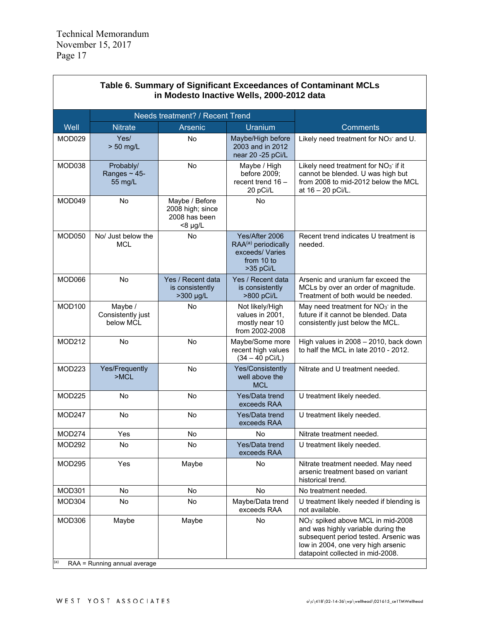Γ

| Table 6. Summary of Significant Exceedances of Contaminant MCLs<br>in Modesto Inactive Wells, 2000-2012 data |                                           |                                                                     |                                                                                                |                                                                                                                                                                                                       |  |
|--------------------------------------------------------------------------------------------------------------|-------------------------------------------|---------------------------------------------------------------------|------------------------------------------------------------------------------------------------|-------------------------------------------------------------------------------------------------------------------------------------------------------------------------------------------------------|--|
|                                                                                                              |                                           | <b>Needs treatment? / Recent Trend</b>                              |                                                                                                |                                                                                                                                                                                                       |  |
| Well                                                                                                         | <b>Nitrate</b>                            | Arsenic                                                             | Uranium                                                                                        | <b>Comments</b>                                                                                                                                                                                       |  |
| MOD029                                                                                                       | Yes/<br>$> 50$ mg/L                       | <b>No</b>                                                           | Maybe/High before<br>2003 and in 2012<br>near 20 - 25 pCi/L                                    | Likely need treatment for NO <sub>3</sub> and U.                                                                                                                                                      |  |
| MOD038                                                                                                       | Probably/<br>Ranges $\sim$ 45-<br>55 mg/L | <b>No</b>                                                           | Maybe / High<br>before 2009;<br>recent trend $16 -$<br>20 pCi/L                                | Likely need treatment for NO <sub>3</sub> if it<br>cannot be blended. U was high but<br>from 2008 to mid-2012 below the MCL<br>at 16 - 20 pCi/L.                                                      |  |
| MOD049                                                                                                       | <b>No</b>                                 | Maybe / Before<br>2008 high; since<br>2008 has been<br>$<8 \mu g/L$ | No                                                                                             |                                                                                                                                                                                                       |  |
| <b>MOD050</b>                                                                                                | No/ Just below the<br><b>MCL</b>          | <b>No</b>                                                           | Yes/After 2006<br>RAA <sup>(a)</sup> periodically<br>exceeds/Varies<br>from 10 to<br>>35 pCi/L | Recent trend indicates U treatment is<br>needed.                                                                                                                                                      |  |
| MOD066                                                                                                       | No                                        | Yes / Recent data<br>is consistently<br>>300 µg/L                   | Yes / Recent data<br>is consistently<br>>800 pCi/L                                             | Arsenic and uranium far exceed the<br>MCLs by over an order of magnitude.<br>Treatment of both would be needed.                                                                                       |  |
| <b>MOD100</b>                                                                                                | Maybe /<br>Consistently just<br>below MCL | <b>No</b>                                                           | Not likely/High<br>values in 2001,<br>mostly near 10<br>from 2002-2008                         | May need treatment for $NO3$ in the<br>future if it cannot be blended. Data<br>consistently just below the MCL.                                                                                       |  |
| <b>MOD212</b>                                                                                                | <b>No</b>                                 | <b>No</b>                                                           | Maybe/Some more<br>recent high values<br>$(34 - 40 pCi/L)$                                     | High values in 2008 - 2010, back down<br>to half the MCL in late 2010 - 2012.                                                                                                                         |  |
| MOD223                                                                                                       | Yes/Frequently<br>>MCL                    | <b>No</b>                                                           | Yes/Consistently<br>well above the<br><b>MCL</b>                                               | Nitrate and U treatment needed.                                                                                                                                                                       |  |
| <b>MOD225</b>                                                                                                | <b>No</b>                                 | <b>No</b>                                                           | Yes/Data trend<br>exceeds RAA                                                                  | U treatment likely needed.                                                                                                                                                                            |  |
| MOD247                                                                                                       | <b>No</b>                                 | <b>No</b>                                                           | Yes/Data trend<br>exceeds RAA                                                                  | U treatment likely needed.                                                                                                                                                                            |  |
| MOD274                                                                                                       | Yes                                       | No                                                                  | <b>No</b>                                                                                      | Nitrate treatment needed.                                                                                                                                                                             |  |
| <b>MOD292</b>                                                                                                | No                                        | No                                                                  | Yes/Data trend<br>exceeds RAA                                                                  | U treatment likely needed.                                                                                                                                                                            |  |
| <b>MOD295</b>                                                                                                | Yes                                       | Maybe                                                               | No                                                                                             | Nitrate treatment needed. May need<br>arsenic treatment based on variant<br>historical trend.                                                                                                         |  |
| MOD301                                                                                                       | No                                        | No                                                                  | <b>No</b>                                                                                      | No treatment needed.                                                                                                                                                                                  |  |
| MOD304                                                                                                       | No                                        | No                                                                  | Maybe/Data trend<br>exceeds RAA                                                                | U treatment likely needed if blending is<br>not available.                                                                                                                                            |  |
| MOD306<br>(a)                                                                                                | Maybe<br>RAA = Running annual average     | Maybe                                                               | <b>No</b>                                                                                      | NO <sub>3</sub> spiked above MCL in mid-2008<br>and was highly variable during the<br>subsequent period tested. Arsenic was<br>low in 2004, one very high arsenic<br>datapoint collected in mid-2008. |  |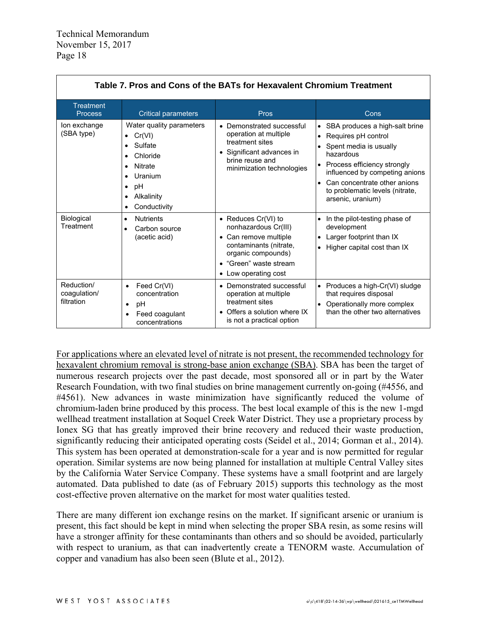| Table 7. Pros and Cons of the BATs for Hexavalent Chromium Treatment |                                                                                                                                       |                                                                                                                                                                          |                                                                                                                                                                                                                                                                      |  |  |  |
|----------------------------------------------------------------------|---------------------------------------------------------------------------------------------------------------------------------------|--------------------------------------------------------------------------------------------------------------------------------------------------------------------------|----------------------------------------------------------------------------------------------------------------------------------------------------------------------------------------------------------------------------------------------------------------------|--|--|--|
| Treatment<br><b>Process</b>                                          | <b>Critical parameters</b>                                                                                                            | Pros                                                                                                                                                                     | Cons                                                                                                                                                                                                                                                                 |  |  |  |
| lon exchange<br>(SBA type)                                           | Water quality parameters<br>Cr(VI)<br>Sulfate<br>Chloride<br>Nitrate<br>٠<br>Uranium<br>pH<br>$\bullet$<br>Alkalinity<br>Conductivity | • Demonstrated successful<br>operation at multiple<br>treatment sites<br>• Significant advances in<br>brine reuse and<br>minimization technologies                       | • SBA produces a high-salt brine<br>Requires pH control<br>$\bullet$<br>Spent media is usually<br>hazardous<br>Process efficiency strongly<br>influenced by competing anions<br>Can concentrate other anions<br>to problematic levels (nitrate,<br>arsenic, uranium) |  |  |  |
| Biological<br>Treatment                                              | <b>Nutrients</b><br>$\bullet$<br>Carbon source<br>(acetic acid)                                                                       | • Reduces $Cr(VI)$ to<br>nonhazardous Cr(III)<br>• Can remove multiple<br>contaminants (nitrate,<br>organic compounds)<br>• "Green" waste stream<br>• Low operating cost | In the pilot-testing phase of<br>$\bullet$<br>development<br>Larger footprint than IX<br>$\bullet$<br>Higher capital cost than IX<br>$\bullet$                                                                                                                       |  |  |  |
| Reduction/<br>coagulation/<br>filtration                             | Feed Cr(VI)<br>$\bullet$<br>concentration<br>рH<br>٠<br>Feed coagulant<br>٠<br>concentrations                                         | • Demonstrated successful<br>operation at multiple<br>treatment sites<br>• Offers a solution where IX<br>is not a practical option                                       | • Produces a high-Cr(VI) sludge<br>that requires disposal<br>Operationally more complex<br>than the other two alternatives                                                                                                                                           |  |  |  |

For applications where an elevated level of nitrate is not present, the recommended technology for hexavalent chromium removal is strong-base anion exchange (SBA). SBA has been the target of numerous research projects over the past decade, most sponsored all or in part by the Water Research Foundation, with two final studies on brine management currently on-going (#4556, and #4561). New advances in waste minimization have significantly reduced the volume of chromium-laden brine produced by this process. The best local example of this is the new 1-mgd wellhead treatment installation at Soquel Creek Water District. They use a proprietary process by Ionex SG that has greatly improved their brine recovery and reduced their waste production, significantly reducing their anticipated operating costs (Seidel et al., 2014; Gorman et al., 2014). This system has been operated at demonstration-scale for a year and is now permitted for regular operation. Similar systems are now being planned for installation at multiple Central Valley sites by the California Water Service Company. These systems have a small footprint and are largely automated. Data published to date (as of February 2015) supports this technology as the most cost-effective proven alternative on the market for most water qualities tested.

There are many different ion exchange resins on the market. If significant arsenic or uranium is present, this fact should be kept in mind when selecting the proper SBA resin, as some resins will have a stronger affinity for these contaminants than others and so should be avoided, particularly with respect to uranium, as that can inadvertently create a TENORM waste. Accumulation of copper and vanadium has also been seen (Blute et al., 2012).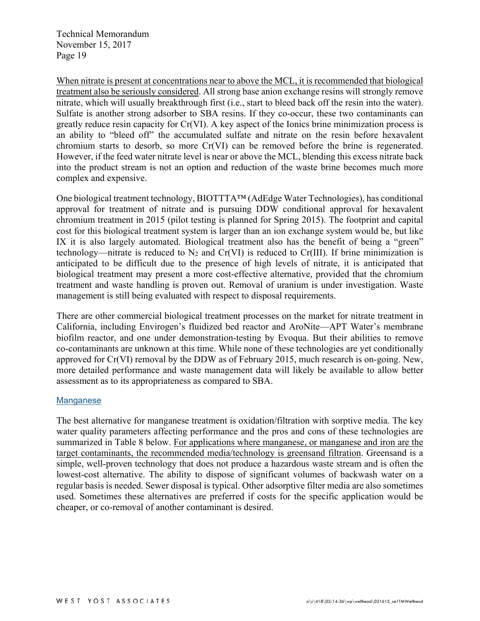When nitrate is present at concentrations near to above the MCL, it is recommended that biological treatment also be seriously considered. All strong base anion exchange resins will strongly remove nitrate, which will usually breakthrough first (i.e., start to bleed back off the resin into the water). Sulfate is another strong adsorber to SBA resins. If they co-occur, these two contaminants can greatly reduce resin capacity for Cr(VI). A key aspect of the Ionics brine minimization process is an ability to "bleed off" the accumulated sulfate and nitrate on the resin before hexavalent chromium starts to desorb, so more Cr(VI) can be removed before the brine is regenerated. However, if the feed water nitrate level is near or above the MCL, blending this excess nitrate back into the product stream is not an option and reduction of the waste brine becomes much more complex and expensive.

One biological treatment technology, BIOTTTA™ (AdEdge Water Technologies), has conditional approval for treatment of nitrate and is pursuing DDW conditional approval for hexavalent chromium treatment in 2015 (pilot testing is planned for Spring 2015). The footprint and capital cost for this biological treatment system is larger than an ion exchange system would be, but like IX it is also largely automated. Biological treatment also has the benefit of being a "green" technology—nitrate is reduced to  $N_2$  and  $Cr(VI)$  is reduced to  $Cr(III)$ . If brine minimization is anticipated to be difficult due to the presence of high levels of nitrate, it is anticipated that biological treatment may present a more cost-effective alternative, provided that the chromium treatment and waste handling is proven out. Removal of uranium is under investigation. Waste management is still being evaluated with respect to disposal requirements.

There are other commercial biological treatment processes on the market for nitrate treatment in California, including Envirogen's fluidized bed reactor and AroNite—APT Water's membrane biofilm reactor, and one under demonstration-testing by Evoqua. But their abilities to remove co-contaminants are unknown at this time. While none of these technologies are yet conditionally approved for Cr(VI) removal by the DDW as of February 2015, much research is on-going. New, more detailed performance and waste management data will likely be available to allow better assessment as to its appropriateness as compared to SBA.

#### Manganese

The best alternative for manganese treatment is oxidation/filtration with sorptive media. The key water quality parameters affecting performance and the pros and cons of these technologies are summarized in Table 8 below. For applications where manganese, or manganese and iron are the target contaminants, the recommended media/technology is greensand filtration. Greensand is a simple, well-proven technology that does not produce a hazardous waste stream and is often the lowest-cost alternative. The ability to dispose of significant volumes of backwash water on a regular basis is needed. Sewer disposal is typical. Other adsorptive filter media are also sometimes used. Sometimes these alternatives are preferred if costs for the specific application would be cheaper, or co-removal of another contaminant is desired.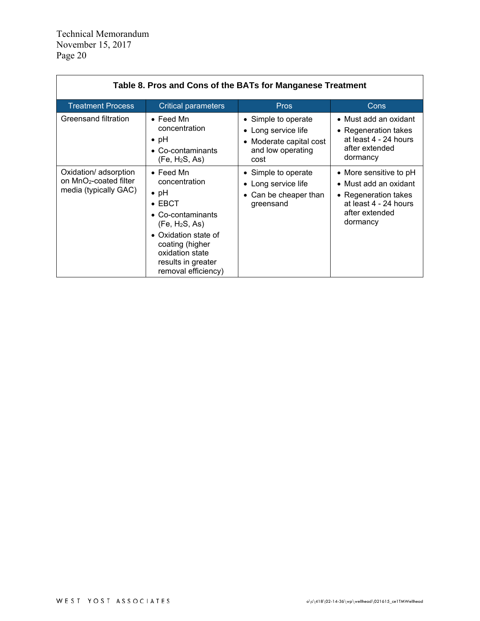| Table 8. Pros and Cons of the BATs for Manganese Treatment                           |                                                                                                                                                                                                                                    |                                                                                                    |                                                                                                                                |  |  |  |
|--------------------------------------------------------------------------------------|------------------------------------------------------------------------------------------------------------------------------------------------------------------------------------------------------------------------------------|----------------------------------------------------------------------------------------------------|--------------------------------------------------------------------------------------------------------------------------------|--|--|--|
| <b>Treatment Process</b>                                                             | <b>Critical parameters</b>                                                                                                                                                                                                         | <b>Pros</b>                                                                                        | Cons                                                                                                                           |  |  |  |
| Greensand filtration                                                                 | $\bullet$ Feed Mn<br>concentration<br>$\bullet$ pH<br>$\bullet$ Co-contaminants<br>(Fe, H <sub>2</sub> S, As)                                                                                                                      | • Simple to operate<br>• Long service life<br>• Moderate capital cost<br>and low operating<br>cost | • Must add an oxidant<br>• Regeneration takes<br>at least 4 - 24 hours<br>after extended<br>dormancy                           |  |  |  |
| Oxidation/ adsorption<br>on MnO <sub>2</sub> -coated filter<br>media (typically GAC) | $\bullet$ Feed Mn<br>concentration<br>$\bullet$ pH<br>$\bullet$ EBCT<br>• Co-contaminants<br>(Fe, H <sub>2</sub> S, As)<br>• Oxidation state of<br>coating (higher<br>oxidation state<br>results in greater<br>removal efficiency) | • Simple to operate<br>• Long service life<br>• Can be cheaper than<br>greensand                   | • More sensitive to pH<br>• Must add an oxidant<br>• Regeneration takes<br>at least 4 - 24 hours<br>after extended<br>dormancy |  |  |  |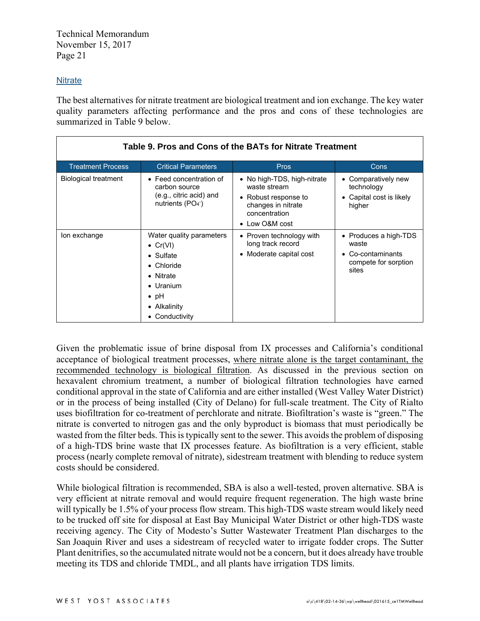## **Nitrate**

The best alternatives for nitrate treatment are biological treatment and ion exchange. The key water quality parameters affecting performance and the pros and cons of these technologies are summarized in Table 9 below.

| Table 9. Pros and Cons of the BATs for Nitrate Treatment |                                                                                                                                                                       |                                                                                                                                         |                                                                                      |  |  |  |
|----------------------------------------------------------|-----------------------------------------------------------------------------------------------------------------------------------------------------------------------|-----------------------------------------------------------------------------------------------------------------------------------------|--------------------------------------------------------------------------------------|--|--|--|
| <b>Treatment Process</b>                                 | <b>Critical Parameters</b>                                                                                                                                            | <b>Pros</b>                                                                                                                             | Cons                                                                                 |  |  |  |
| <b>Biological treatment</b>                              | • Feed concentration of<br>carbon source<br>(e.g., citric acid) and<br>nutrients $(PO4$ <sup>-</sup> )                                                                | • No high-TDS, high-nitrate<br>waste stream<br>Robust response to<br>$\bullet$<br>changes in nitrate<br>concentration<br>• Low O&M cost | Comparatively new<br>technology<br>Capital cost is likely<br>higher                  |  |  |  |
| lon exchange                                             | Water quality parameters<br>• $Cr(VI)$<br>$\bullet$ Sulfate<br>$\bullet$ Chloride<br>• Nitrate<br>$\bullet$ Uranium<br>$\bullet$ pH<br>• Alkalinity<br>• Conductivity | • Proven technology with<br>long track record<br>• Moderate capital cost                                                                | • Produces a high-TDS<br>waste<br>• Co-contaminants<br>compete for sorption<br>sites |  |  |  |

Given the problematic issue of brine disposal from IX processes and California's conditional acceptance of biological treatment processes, where nitrate alone is the target contaminant, the recommended technology is biological filtration. As discussed in the previous section on hexavalent chromium treatment, a number of biological filtration technologies have earned conditional approval in the state of California and are either installed (West Valley Water District) or in the process of being installed (City of Delano) for full-scale treatment. The City of Rialto uses biofiltration for co-treatment of perchlorate and nitrate. Biofiltration's waste is "green." The nitrate is converted to nitrogen gas and the only byproduct is biomass that must periodically be wasted from the filter beds. This is typically sent to the sewer. This avoids the problem of disposing of a high-TDS brine waste that IX processes feature. As biofiltration is a very efficient, stable process (nearly complete removal of nitrate), sidestream treatment with blending to reduce system costs should be considered.

While biological filtration is recommended, SBA is also a well-tested, proven alternative. SBA is very efficient at nitrate removal and would require frequent regeneration. The high waste brine will typically be 1.5% of your process flow stream. This high-TDS waste stream would likely need to be trucked off site for disposal at East Bay Municipal Water District or other high-TDS waste receiving agency. The City of Modesto's Sutter Wastewater Treatment Plan discharges to the San Joaquin River and uses a sidestream of recycled water to irrigate fodder crops. The Sutter Plant denitrifies, so the accumulated nitrate would not be a concern, but it does already have trouble meeting its TDS and chloride TMDL, and all plants have irrigation TDS limits.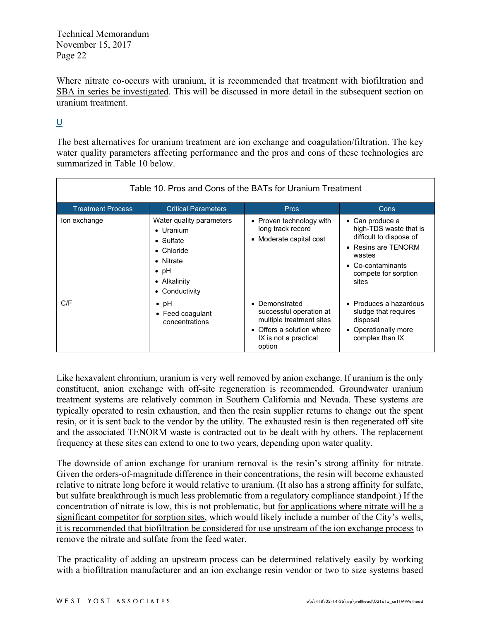Where nitrate co-occurs with uranium, it is recommended that treatment with biofiltration and SBA in series be investigated. This will be discussed in more detail in the subsequent section on uranium treatment.

## $\underline{\mathsf{U}}$

The best alternatives for uranium treatment are ion exchange and coagulation/filtration. The key water quality parameters affecting performance and the pros and cons of these technologies are summarized in Table 10 below.

| Table 10. Pros and Cons of the BATs for Uranium Treatment |                                                                                                                                                 |                                                                                                                                       |                                                                                                                                                           |  |  |  |
|-----------------------------------------------------------|-------------------------------------------------------------------------------------------------------------------------------------------------|---------------------------------------------------------------------------------------------------------------------------------------|-----------------------------------------------------------------------------------------------------------------------------------------------------------|--|--|--|
| <b>Treatment Process</b>                                  | <b>Critical Parameters</b>                                                                                                                      | <b>Pros</b>                                                                                                                           | Cons                                                                                                                                                      |  |  |  |
| lon exchange                                              | Water quality parameters<br>• Uranium<br>$\bullet$ Sulfate<br>$\bullet$ Chloride<br>• Nitrate<br>$\bullet$ pH<br>• Alkalinity<br>• Conductivity | • Proven technology with<br>long track record<br>• Moderate capital cost                                                              | • Can produce a<br>high-TDS waste that is<br>difficult to dispose of<br>• Resins are TENORM<br>wastes<br>Co-contaminants<br>compete for sorption<br>sites |  |  |  |
| C/F                                                       | $\bullet$ pH<br>• Feed coagulant<br>concentrations                                                                                              | • Demonstrated<br>successful operation at<br>multiple treatment sites<br>• Offers a solution where<br>IX is not a practical<br>option | $\bullet$ Produces a hazardous<br>sludge that requires<br>disposal<br>• Operationally more<br>complex than IX                                             |  |  |  |

Like hexavalent chromium, uranium is very well removed by anion exchange. If uranium is the only constituent, anion exchange with off-site regeneration is recommended. Groundwater uranium treatment systems are relatively common in Southern California and Nevada. These systems are typically operated to resin exhaustion, and then the resin supplier returns to change out the spent resin, or it is sent back to the vendor by the utility. The exhausted resin is then regenerated off site and the associated TENORM waste is contracted out to be dealt with by others. The replacement frequency at these sites can extend to one to two years, depending upon water quality.

The downside of anion exchange for uranium removal is the resin's strong affinity for nitrate. Given the orders-of-magnitude difference in their concentrations, the resin will become exhausted relative to nitrate long before it would relative to uranium. (It also has a strong affinity for sulfate, but sulfate breakthrough is much less problematic from a regulatory compliance standpoint.) If the concentration of nitrate is low, this is not problematic, but for applications where nitrate will be a significant competitor for sorption sites, which would likely include a number of the City's wells, it is recommended that biofiltration be considered for use upstream of the ion exchange process to remove the nitrate and sulfate from the feed water.

The practicality of adding an upstream process can be determined relatively easily by working with a biofiltration manufacturer and an ion exchange resin vendor or two to size systems based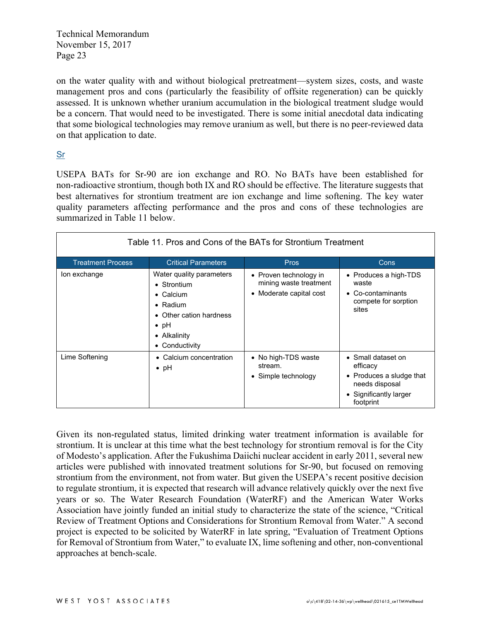on the water quality with and without biological pretreatment—system sizes, costs, and waste management pros and cons (particularly the feasibility of offsite regeneration) can be quickly assessed. It is unknown whether uranium accumulation in the biological treatment sludge would be a concern. That would need to be investigated. There is some initial anecdotal data indicating that some biological technologies may remove uranium as well, but there is no peer-reviewed data on that application to date.

# Sr

USEPA BATs for Sr-90 are ion exchange and RO. No BATs have been established for non-radioactive strontium, though both IX and RO should be effective. The literature suggests that best alternatives for strontium treatment are ion exchange and lime softening. The key water quality parameters affecting performance and the pros and cons of these technologies are summarized in Table 11 below.

| Table 11. Pros and Cons of the BATs for Strontium Treatment |                                                                                                                                                               |                                                                             |                                                                                                                     |  |  |  |
|-------------------------------------------------------------|---------------------------------------------------------------------------------------------------------------------------------------------------------------|-----------------------------------------------------------------------------|---------------------------------------------------------------------------------------------------------------------|--|--|--|
| <b>Treatment Process</b>                                    | <b>Critical Parameters</b>                                                                                                                                    | <b>Pros</b>                                                                 | <b>Cons</b>                                                                                                         |  |  |  |
| lon exchange                                                | Water quality parameters<br>• Strontium<br>$\bullet$ Calcium<br>$\bullet$ Radium<br>• Other cation hardness<br>$\bullet$ pH<br>• Alkalinity<br>• Conductivity | • Proven technology in<br>mining waste treatment<br>• Moderate capital cost | • Produces a high-TDS<br>waste<br>$\bullet$ Co-contaminants<br>compete for sorption<br>sites                        |  |  |  |
| Lime Softening                                              | • Calcium concentration<br>$\bullet$ pH                                                                                                                       | • No high-TDS waste<br>stream.<br>• Simple technology                       | • Small dataset on<br>efficacy<br>• Produces a sludge that<br>needs disposal<br>• Significantly larger<br>footprint |  |  |  |

Given its non-regulated status, limited drinking water treatment information is available for strontium. It is unclear at this time what the best technology for strontium removal is for the City of Modesto's application. After the Fukushima Daiichi nuclear accident in early 2011, several new articles were published with innovated treatment solutions for Sr-90, but focused on removing strontium from the environment, not from water. But given the USEPA's recent positive decision to regulate strontium, it is expected that research will advance relatively quickly over the next five years or so. The Water Research Foundation (WaterRF) and the American Water Works Association have jointly funded an initial study to characterize the state of the science, "Critical Review of Treatment Options and Considerations for Strontium Removal from Water." A second project is expected to be solicited by WaterRF in late spring, "Evaluation of Treatment Options for Removal of Strontium from Water," to evaluate IX, lime softening and other, non-conventional approaches at bench-scale.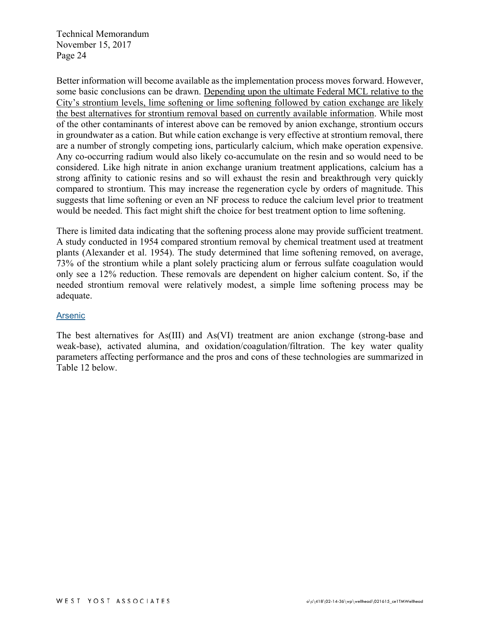Better information will become available as the implementation process moves forward. However, some basic conclusions can be drawn. Depending upon the ultimate Federal MCL relative to the City's strontium levels, lime softening or lime softening followed by cation exchange are likely the best alternatives for strontium removal based on currently available information. While most of the other contaminants of interest above can be removed by anion exchange, strontium occurs in groundwater as a cation. But while cation exchange is very effective at strontium removal, there are a number of strongly competing ions, particularly calcium, which make operation expensive. Any co-occurring radium would also likely co-accumulate on the resin and so would need to be considered. Like high nitrate in anion exchange uranium treatment applications, calcium has a strong affinity to cationic resins and so will exhaust the resin and breakthrough very quickly compared to strontium. This may increase the regeneration cycle by orders of magnitude. This suggests that lime softening or even an NF process to reduce the calcium level prior to treatment would be needed. This fact might shift the choice for best treatment option to lime softening.

There is limited data indicating that the softening process alone may provide sufficient treatment. A study conducted in 1954 compared strontium removal by chemical treatment used at treatment plants (Alexander et al. 1954). The study determined that lime softening removed, on average, 73% of the strontium while a plant solely practicing alum or ferrous sulfate coagulation would only see a 12% reduction. These removals are dependent on higher calcium content. So, if the needed strontium removal were relatively modest, a simple lime softening process may be adequate.

## Arsenic

The best alternatives for As(III) and As(VI) treatment are anion exchange (strong-base and weak-base), activated alumina, and oxidation/coagulation/filtration. The key water quality parameters affecting performance and the pros and cons of these technologies are summarized in Table 12 below.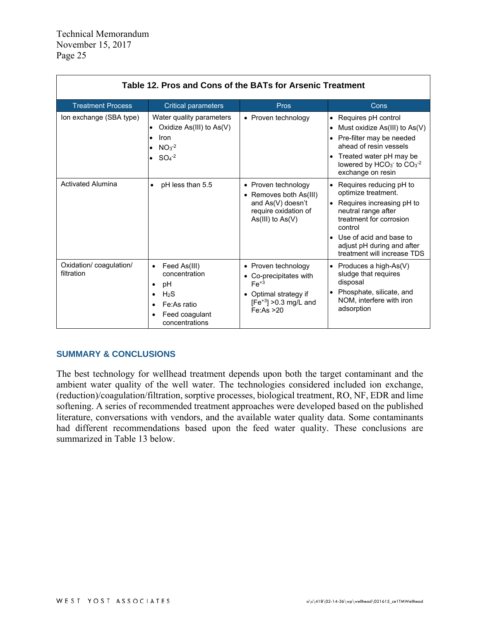| Table 12. Pros and Cons of the BATs for Arsenic Treatment |                                                                                                                                                                             |                                                                                                                              |                                                                                                                                                                                                                                                 |  |
|-----------------------------------------------------------|-----------------------------------------------------------------------------------------------------------------------------------------------------------------------------|------------------------------------------------------------------------------------------------------------------------------|-------------------------------------------------------------------------------------------------------------------------------------------------------------------------------------------------------------------------------------------------|--|
| <b>Treatment Process</b>                                  | <b>Critical parameters</b>                                                                                                                                                  | Pros                                                                                                                         | Cons                                                                                                                                                                                                                                            |  |
| Ion exchange (SBA type)                                   | Water quality parameters<br>Oxidize $As(III)$ to $As(V)$<br>Iron<br>$NO3-2$<br>$SO4-2$                                                                                      | • Proven technology                                                                                                          | • Requires pH control<br>Must oxidize $As(III)$ to $As(V)$<br>Pre-filter may be needed<br>ahead of resin vessels<br>• Treated water pH may be<br>lowered by HCO <sub>3</sub> <sup>-</sup> to CO <sub>3</sub> <sup>-2</sup><br>exchange on resin |  |
| <b>Activated Alumina</b>                                  | pH less than 5.5<br>٠                                                                                                                                                       | • Proven technology<br>• Removes both As(III)<br>and As(V) doesn't<br>require oxidation of<br>$As(III)$ to $As(V)$           | • Requires reducing pH to<br>optimize treatment.<br>$\bullet$ Requires increasing pH to<br>neutral range after<br>treatment for corrosion<br>control<br>• Use of acid and base to<br>adjust pH during and after<br>treatment will increase TDS  |  |
| Oxidation/coagulation/<br>filtration                      | Feed As(III)<br>$\bullet$<br>concentration<br>рH<br>$\bullet$<br>H <sub>2</sub> S<br>$\bullet$<br>Fe:As ratio<br>$\bullet$<br>Feed coagulant<br>$\bullet$<br>concentrations | • Proven technology<br>• Co-precipitates with<br>$Fe+3$<br>• Optimal strategy if<br>$[Fe^{+3}] > 0.3$ mg/L and<br>Fe:As > 20 | • Produces a high-As(V)<br>sludge that requires<br>disposal<br>Phosphate, silicate, and<br>NOM, interfere with iron<br>adsorption                                                                                                               |  |

## **SUMMARY & CONCLUSIONS**

The best technology for wellhead treatment depends upon both the target contaminant and the ambient water quality of the well water. The technologies considered included ion exchange, (reduction)/coagulation/filtration, sorptive processes, biological treatment, RO, NF, EDR and lime softening. A series of recommended treatment approaches were developed based on the published literature, conversations with vendors, and the available water quality data. Some contaminants had different recommendations based upon the feed water quality. These conclusions are summarized in Table 13 below.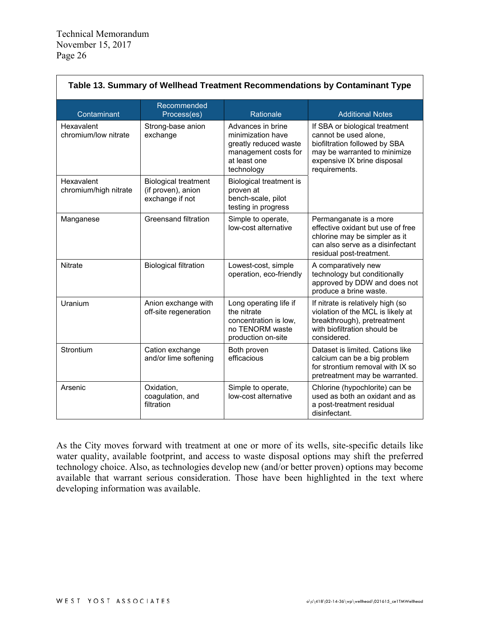| Table 13. Summary of Wellhead Treatment Recommendations by Contaminant Type |                                                                      |                                                                                                                       |                                                                                                                                                                          |  |
|-----------------------------------------------------------------------------|----------------------------------------------------------------------|-----------------------------------------------------------------------------------------------------------------------|--------------------------------------------------------------------------------------------------------------------------------------------------------------------------|--|
| Contaminant                                                                 | Recommended<br>Process(es)                                           | Rationale                                                                                                             | <b>Additional Notes</b>                                                                                                                                                  |  |
| Hexavalent<br>chromium/low nitrate                                          | Strong-base anion<br>exchange                                        | Advances in brine<br>minimization have<br>greatly reduced waste<br>management costs for<br>at least one<br>technology | If SBA or biological treatment<br>cannot be used alone.<br>biofiltration followed by SBA<br>may be warranted to minimize<br>expensive IX brine disposal<br>requirements. |  |
| Hexavalent<br>chromium/high nitrate                                         | <b>Biological treatment</b><br>(if proven), anion<br>exchange if not | Biological treatment is<br>proven at<br>bench-scale, pilot<br>testing in progress                                     |                                                                                                                                                                          |  |
| Manganese                                                                   | Greensand filtration                                                 | Simple to operate,<br>low-cost alternative                                                                            | Permanganate is a more<br>effective oxidant but use of free<br>chlorine may be simpler as it<br>can also serve as a disinfectant<br>residual post-treatment.             |  |
| <b>Nitrate</b>                                                              | <b>Biological filtration</b>                                         | Lowest-cost, simple<br>operation, eco-friendly                                                                        | A comparatively new<br>technology but conditionally<br>approved by DDW and does not<br>produce a brine waste.                                                            |  |
| Uranium                                                                     | Anion exchange with<br>off-site regeneration                         | Long operating life if<br>the nitrate<br>concentration is low,<br>no TENORM waste<br>production on-site               | If nitrate is relatively high (so<br>violation of the MCL is likely at<br>breakthrough), pretreatment<br>with biofiltration should be<br>considered.                     |  |
| Strontium                                                                   | Cation exchange<br>and/or lime softening                             | Both proven<br>efficacious                                                                                            | Dataset is limited. Cations like<br>calcium can be a big problem<br>for strontium removal with IX so<br>pretreatment may be warranted.                                   |  |
| Arsenic                                                                     | Oxidation,<br>coagulation, and<br>filtration                         | Simple to operate,<br>low-cost alternative                                                                            | Chlorine (hypochlorite) can be<br>used as both an oxidant and as<br>a post-treatment residual<br>disinfectant.                                                           |  |

As the City moves forward with treatment at one or more of its wells, site-specific details like water quality, available footprint, and access to waste disposal options may shift the preferred technology choice. Also, as technologies develop new (and/or better proven) options may become available that warrant serious consideration. Those have been highlighted in the text where developing information was available.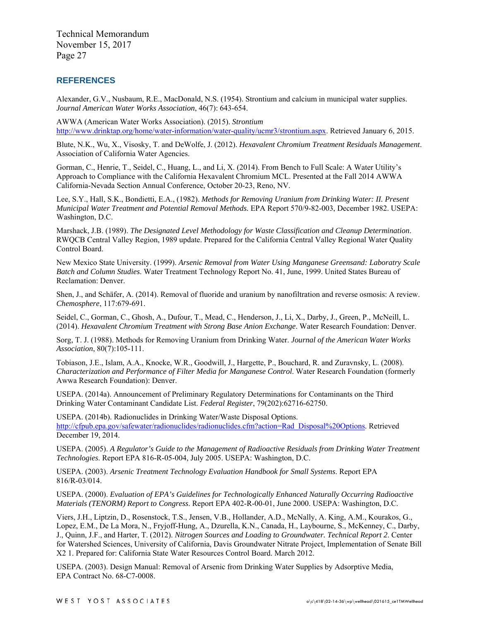#### **REFERENCES**

Alexander, G.V., Nusbaum, R.E., MacDonald, N.S. (1954). Strontium and calcium in municipal water supplies. *Journal American Water Works Association*, 46(7): 643-654.

AWWA (American Water Works Association). (2015). *Strontium* [http://www.drinktap.org/home/water-information/water-quality/ucmr3/strontium.aspx.](http://www.drinktap.org/home/water-information/water-quality/ucmr3/strontium.aspx) Retrieved January 6, 2015.

Blute, N.K., Wu, X., Visosky, T. and DeWolfe, J. (2012). *Hexavalent Chromium Treatment Residuals Management*. Association of California Water Agencies.

Gorman, C., Henrie, T., Seidel, C., Huang, L., and Li, X. (2014). From Bench to Full Scale: A Water Utility's Approach to Compliance with the California Hexavalent Chromium MCL. Presented at the Fall 2014 AWWA California-Nevada Section Annual Conference, October 20-23, Reno, NV.

Lee, S.Y., Hall, S.K., Bondietti, E.A., (1982). *Methods for Removing Uranium from Drinking Water: II. Present Municipal Water Treatment and Potential Removal Methods.* EPA Report 570/9-82-003, December 1982. USEPA: Washington, D.C.

Marshack, J.B. (1989). *The Designated Level Methodology for Waste Classification and Cleanup Determination*. RWQCB Central Valley Region, 1989 update. Prepared for the California Central Valley Regional Water Quality Control Board.

New Mexico State University. (1999). *Arsenic Removal from Water Using Manganese Greensand: Laboratry Scale Batch and Column Studies*. Water Treatment Technology Report No. 41, June, 1999. United States Bureau of Reclamation: Denver.

Shen, J., and Schäfer, A. (2014). Removal of fluoride and uranium by nanofiltration and reverse osmosis: A review. *Chemosphere*, 117:679-691.

Seidel, C., Gorman, C., Ghosh, A., Dufour, T., Mead, C., Henderson, J., Li, X., Darby, J., Green, P., McNeill, L. (2014). *Hexavalent Chromium Treatment with Strong Base Anion Exchange*. Water Research Foundation: Denver.

Sorg, T. J. (1988). Methods for Removing Uranium from Drinking Water. *Journal of the American Water Works Association*, 80(7):105-111.

Tobiason, J.E., Islam, A.A., Knocke, W.R., Goodwill, J., Hargette, P., Bouchard, R. and Zuravnsky, L. (2008). *Characterization and Performance of Filter Media for Manganese Control*. Water Research Foundation (formerly Awwa Research Foundation): Denver.

USEPA. (2014a). Announcement of Preliminary Regulatory Determinations for Contaminants on the Third Drinking Water Contaminant Candidate List. *Federal Register*, 79(202):62716-62750.

USEPA. (2014b). Radionuclides in Drinking Water/Waste Disposal Options. [http://cfpub.epa.gov/safewater/radionuclides/radionuclides.cfm?action=Rad\\_Disposal%20Options.](http://cfpub.epa.gov/safewater/radionuclides/radionuclides.cfm?action=Rad_Disposal%20Options) Retrieved December 19, 2014.

USEPA. (2005). *A Regulator's Guide to the Management of Radioactive Residuals from Drinking Water Treatment Technologies*. Report EPA 816-R-05-004, July 2005. USEPA: Washington, D.C.

USEPA. (2003). *Arsenic Treatment Technology Evaluation Handbook for Small Systems*. Report EPA 816/R-03/014.

USEPA. (2000). *Evaluation of EPA's Guidelines for Technologically Enhanced Naturally Occurring Radioactive Materials (TENORM) Report to Congress*. Report EPA 402-R-00-01, June 2000. USEPA: Washington, D.C.

Viers, J.H., Liptzin, D., Rosenstock, T.S., Jensen, V.B., Hollander, A.D., McNally, A. King, A.M., Kourakos, G., Lopez, E.M., De La Mora, N., Fryjoff-Hung, A., Dzurella, K.N., Canada, H., Laybourne, S., McKenney, C., Darby, J., Quinn, J.F., and Harter, T. (2012). *Nitrogen Sources and Loading to Groundwater. Technical Report 2*. Center for Watershed Sciences, University of California, Davis Groundwater Nitrate Project, Implementation of Senate Bill X2 1. Prepared for: California State Water Resources Control Board. March 2012.

USEPA. (2003). Design Manual: Removal of Arsenic from Drinking Water Supplies by Adsorptive Media, EPA Contract No. 68-C7-0008.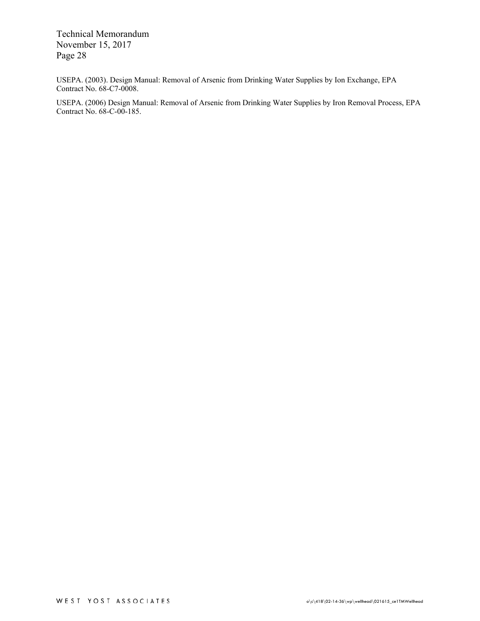USEPA. (2003). Design Manual: Removal of Arsenic from Drinking Water Supplies by Ion Exchange, EPA Contract No. 68-C7-0008.

USEPA. (2006) Design Manual: Removal of Arsenic from Drinking Water Supplies by Iron Removal Process, EPA Contract No. 68-C-00-185.